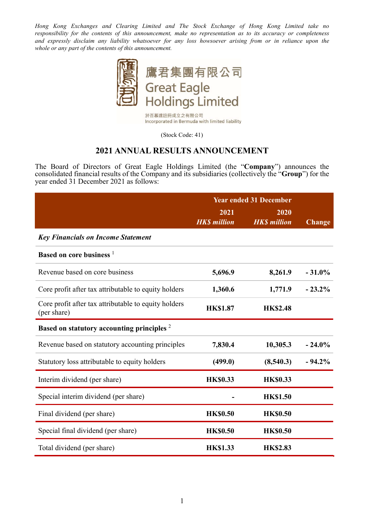Hong Kong Exchanges and Clearing Limited and The Stock Exchange of Hong Kong Limited take no responsibility for the contents of this announcement, make no representation as to its accuracy or completeness and expressly disclaim any liability whatsoever for any loss howsoever arising from or in reliance upon the whole or any part of the contents of this announcement.



於百慕達註冊成立之有限公司 Incorporated in Bermuda with limited liability

(Stock Code: 41)

### 2021 ANNUAL RESULTS ANNOUNCEMENT

The Board of Directors of Great Eagle Holdings Limited (the "Company") announces the consolidated financial results of the Company and its subsidiaries (collectively the "Group") for the year ended 31 December 2021 as follows:

|                                                                     | <b>Year ended 31 December</b> |                            |               |
|---------------------------------------------------------------------|-------------------------------|----------------------------|---------------|
|                                                                     | 2021<br><b>HKS</b> million    | 2020<br><b>HKS</b> million | <b>Change</b> |
| <b>Key Financials on Income Statement</b>                           |                               |                            |               |
| Based on core business 1                                            |                               |                            |               |
| Revenue based on core business                                      | 5,696.9                       | 8,261.9                    | $-31.0%$      |
| Core profit after tax attributable to equity holders                | 1,360.6                       | 1,771.9                    | $-23.2\%$     |
| Core profit after tax attributable to equity holders<br>(per share) | <b>HK\$1.87</b>               | <b>HK\$2.48</b>            |               |
| Based on statutory accounting principles <sup>2</sup>               |                               |                            |               |
| Revenue based on statutory accounting principles                    | 7,830.4                       | 10,305.3                   | $-24.0%$      |
| Statutory loss attributable to equity holders                       | (499.0)                       | (8,540.3)                  | $-94.2%$      |
| Interim dividend (per share)                                        | <b>HK\$0.33</b>               | <b>HK\$0.33</b>            |               |
| Special interim dividend (per share)                                |                               | <b>HK\$1.50</b>            |               |
| Final dividend (per share)                                          | <b>HK\$0.50</b>               | <b>HK\$0.50</b>            |               |
| Special final dividend (per share)                                  | <b>HK\$0.50</b>               | <b>HK\$0.50</b>            |               |
| Total dividend (per share)                                          | <b>HK\$1.33</b>               | <b>HK\$2.83</b>            |               |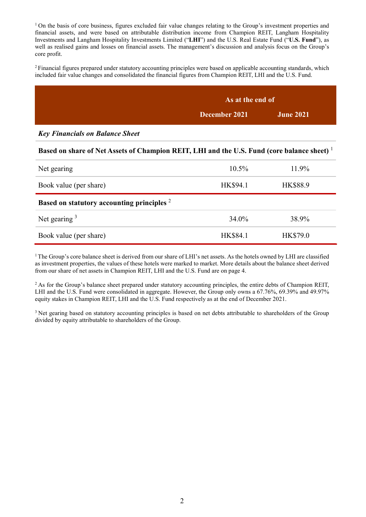$1$  On the basis of core business, figures excluded fair value changes relating to the Group's investment properties and financial assets, and were based on attributable distribution income from Champion REIT, Langham Hospitality Investments and Langham Hospitality Investments Limited ("LHI") and the U.S. Real Estate Fund ("U.S. Fund"), as well as realised gains and losses on financial assets. The management's discussion and analysis focus on the Group's core profit.

<sup>2</sup>Financial figures prepared under statutory accounting principles were based on applicable accounting standards, which included fair value changes and consolidated the financial figures from Champion REIT, LHI and the U.S. Fund.

| As at the end of |                  |
|------------------|------------------|
| December 2021    | <b>June 2021</b> |

Key Financials on Balance Sheet

#### Based on share of Net Assets of Champion REIT, LHI and the U.S. Fund (core balance sheet)<sup>1</sup>

| Net gearing                                           | $10.5\%$        | 11.9%    |
|-------------------------------------------------------|-----------------|----------|
| Book value (per share)                                | <b>HK\$94.1</b> | HK\$88.9 |
| Based on statutory accounting principles <sup>2</sup> |                 |          |
| Net gearing $3$                                       | 34.0%           | 38.9%    |
| Book value (per share)                                | <b>HK\$84.1</b> | HK\$79.0 |

 $1$ The Group's core balance sheet is derived from our share of LHI's net assets. As the hotels owned by LHI are classified as investment properties, the values of these hotels were marked to market. More details about the balance sheet derived from our share of net assets in Champion REIT, LHI and the U.S. Fund are on page 4.

<sup>2</sup> As for the Group's balance sheet prepared under statutory accounting principles, the entire debts of Champion REIT, LHI and the U.S. Fund were consolidated in aggregate. However, the Group only owns a 67.76%, 69.39% and 49.97% equity stakes in Champion REIT, LHI and the U.S. Fund respectively as at the end of December 2021.

<sup>3</sup> Net gearing based on statutory accounting principles is based on net debts attributable to shareholders of the Group divided by equity attributable to shareholders of the Group.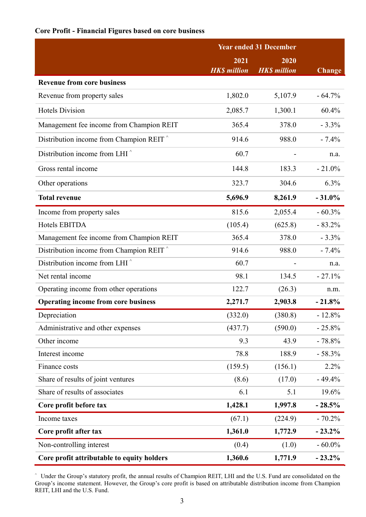### Core Profit - Financial Figures based on core business

|                                                             | <b>Year ended 31 December</b> |                            |               |
|-------------------------------------------------------------|-------------------------------|----------------------------|---------------|
|                                                             | 2021<br><b>HK\$</b> million   | 2020<br><b>HKS</b> million | <b>Change</b> |
| <b>Revenue from core business</b>                           |                               |                            |               |
| Revenue from property sales                                 | 1,802.0                       | 5,107.9                    | $-64.7%$      |
| <b>Hotels Division</b>                                      | 2,085.7                       | 1,300.1                    | 60.4%         |
| Management fee income from Champion REIT                    | 365.4                         | 378.0                      | $-3.3%$       |
| Distribution income from Champion REIT <sup>^</sup>         | 914.6                         | 988.0                      | $-7.4%$       |
| Distribution income from LHI <sup><math>\hat{}</math></sup> | 60.7                          |                            | n.a.          |
| Gross rental income                                         | 144.8                         | 183.3                      | $-21.0%$      |
| Other operations                                            | 323.7                         | 304.6                      | 6.3%          |
| <b>Total revenue</b>                                        | 5,696.9                       | 8,261.9                    | $-31.0%$      |
| Income from property sales                                  | 815.6                         | 2,055.4                    | $-60.3%$      |
| Hotels EBITDA                                               | (105.4)                       | (625.8)                    | $-83.2%$      |
| Management fee income from Champion REIT                    | 365.4                         | 378.0                      | $-3.3%$       |
| Distribution income from Champion REIT <sup>^</sup>         | 914.6                         | 988.0                      | $-7.4%$       |
| Distribution income from LHI <sup>^</sup>                   | 60.7                          |                            | n.a.          |
| Net rental income                                           | 98.1                          | 134.5                      | $-27.1%$      |
| Operating income from other operations                      | 122.7                         | (26.3)                     | n.m.          |
| <b>Operating income from core business</b>                  | 2,271.7                       | 2,903.8                    | $-21.8%$      |
| Depreciation                                                | (332.0)                       | (380.8)                    | $-12.8%$      |
| Administrative and other expenses                           | (437.7)                       | (590.0)                    | $-25.8%$      |
| Other income                                                | 9.3                           | 43.9                       | $-78.8%$      |
| Interest income                                             | 78.8                          | 188.9                      | $-58.3%$      |
| Finance costs                                               | (159.5)                       | (156.1)                    | 2.2%          |
| Share of results of joint ventures                          | (8.6)                         | (17.0)                     | $-49.4%$      |
| Share of results of associates                              | 6.1                           | 5.1                        | 19.6%         |
| Core profit before tax                                      | 1,428.1                       | 1,997.8                    | $-28.5%$      |
| Income taxes                                                | (67.1)                        | (224.9)                    | $-70.2%$      |
| Core profit after tax                                       | 1,361.0                       | 1,772.9                    | $-23.2\%$     |
| Non-controlling interest                                    | (0.4)                         | (1.0)                      | $-60.0\%$     |
| Core profit attributable to equity holders                  | 1,360.6                       | 1,771.9                    | $-23.2%$      |

^ Under the Group's statutory profit, the annual results of Champion REIT, LHI and the U.S. Fund are consolidated on the Group's income statement. However, the Group's core profit is based on attributable distribution income from Champion REIT, LHI and the U.S. Fund.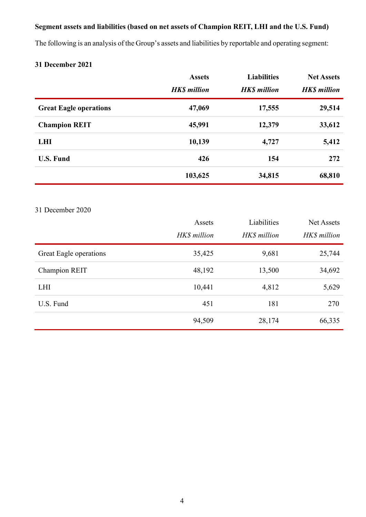# Segment assets and liabilities (based on net assets of Champion REIT, LHI and the U.S. Fund)

The following is an analysis of the Group's assets and liabilities by reportable and operating segment:

# 31 December 2021

|                               | <b>Assets</b><br><b>HK\$</b> million | <b>Liabilities</b><br><b>HK\$</b> million | <b>Net Assets</b><br><b>HK\$</b> million |
|-------------------------------|--------------------------------------|-------------------------------------------|------------------------------------------|
| <b>Great Eagle operations</b> | 47,069                               | 17,555                                    | 29,514                                   |
| <b>Champion REIT</b>          | 45,991                               | 12,379                                    | 33,612                                   |
| <b>LHI</b>                    | 10,139                               | 4,727                                     | 5,412                                    |
| <b>U.S. Fund</b>              | 426                                  | 154                                       | 272                                      |
|                               | 103,625                              | 34,815                                    | 68,810                                   |

# 31 December 2020

|                        | Assets<br>HK\$ million | Liabilities<br>HK\$ million | Net Assets<br>HK\$ million |
|------------------------|------------------------|-----------------------------|----------------------------|
| Great Eagle operations | 35,425                 | 9,681                       | 25,744                     |
| Champion REIT          | 48,192                 | 13,500                      | 34,692                     |
| <b>LHI</b>             | 10,441                 | 4,812                       | 5,629                      |
| U.S. Fund              | 451                    | 181                         | 270                        |
|                        | 94,509                 | 28,174                      | 66,335                     |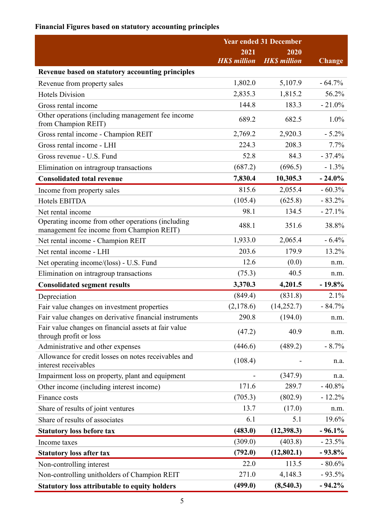# Financial Figures based on statutory accounting principles

|                                                                                                | <b>Year ended 31 December</b> |                     |               |  |
|------------------------------------------------------------------------------------------------|-------------------------------|---------------------|---------------|--|
|                                                                                                | 2021<br><b>HK\$</b> million   | 2020                |               |  |
|                                                                                                |                               | <b>HK\$</b> million | <b>Change</b> |  |
| Revenue based on statutory accounting principles                                               |                               |                     | $-64.7%$      |  |
| Revenue from property sales                                                                    | 1,802.0                       | 5,107.9             | 56.2%         |  |
| <b>Hotels Division</b>                                                                         | 2,835.3                       | 1,815.2             |               |  |
| Gross rental income                                                                            | 144.8                         | 183.3               | $-21.0%$      |  |
| Other operations (including management fee income<br>from Champion REIT)                       | 689.2                         | 682.5               | 1.0%          |  |
| Gross rental income - Champion REIT                                                            | 2,769.2                       | 2,920.3             | $-5.2%$       |  |
| Gross rental income - LHI                                                                      | 224.3                         | 208.3               | 7.7%          |  |
| Gross revenue - U.S. Fund                                                                      | 52.8                          | 84.3                | $-37.4%$      |  |
| Elimination on intragroup transactions                                                         | (687.2)                       | (696.5)             | $-1.3%$       |  |
| <b>Consolidated total revenue</b>                                                              | 7,830.4                       | 10,305.3            | $-24.0%$      |  |
| Income from property sales                                                                     | 815.6                         | 2,055.4             | $-60.3%$      |  |
| Hotels EBITDA                                                                                  | (105.4)                       | (625.8)             | $-83.2%$      |  |
| Net rental income                                                                              | 98.1                          | 134.5               | $-27.1%$      |  |
| Operating income from other operations (including<br>management fee income from Champion REIT) | 488.1                         | 351.6               | 38.8%         |  |
| Net rental income - Champion REIT                                                              | 1,933.0                       | 2,065.4             | $-6.4%$       |  |
| Net rental income - LHI                                                                        | 203.6                         | 179.9               | 13.2%         |  |
| Net operating income/(loss) - U.S. Fund                                                        | 12.6                          | (0.0)               | n.m.          |  |
| Elimination on intragroup transactions                                                         | (75.3)                        | 40.5                | n.m.          |  |
| <b>Consolidated segment results</b>                                                            | 3,370.3                       | 4,201.5             | $-19.8%$      |  |
| Depreciation                                                                                   | (849.4)                       | (831.8)             | 2.1%          |  |
| Fair value changes on investment properties                                                    | (2,178.6)                     | (14, 252.7)         | $-84.7%$      |  |
| Fair value changes on derivative financial instruments                                         | 290.8                         | (194.0)             | n.m.          |  |
| Fair value changes on financial assets at fair value<br>through profit or loss                 | (47.2)                        | 40.9                | n.m.          |  |
| Administrative and other expenses                                                              | (446.6)                       | (489.2)             | $-8.7\%$      |  |
| Allowance for credit losses on notes receivables and<br>interest receivables                   | (108.4)                       |                     | n.a.          |  |
| Impairment loss on property, plant and equipment                                               |                               | (347.9)             | n.a.          |  |
| Other income (including interest income)                                                       | 171.6                         | 289.7               | $-40.8%$      |  |
| Finance costs                                                                                  | (705.3)                       | (802.9)             | $-12.2%$      |  |
| Share of results of joint ventures                                                             | 13.7                          | (17.0)              | n.m.          |  |
| Share of results of associates                                                                 | 6.1                           | 5.1                 | 19.6%         |  |
| <b>Statutory loss before tax</b>                                                               | (483.0)                       | (12,398.3)          | $-96.1%$      |  |
| Income taxes                                                                                   | (309.0)                       | (403.8)             | $-23.5%$      |  |
| <b>Statutory loss after tax</b>                                                                | (792.0)                       | (12,802.1)          | $-93.8%$      |  |
| Non-controlling interest                                                                       | 22.0                          | 113.5               | $-80.6%$      |  |
| Non-controlling unitholders of Champion REIT                                                   | 271.0                         | 4,148.3             | $-93.5%$      |  |
| <b>Statutory loss attributable to equity holders</b>                                           | (499.0)                       | (8,540.3)           | $-94.2\%$     |  |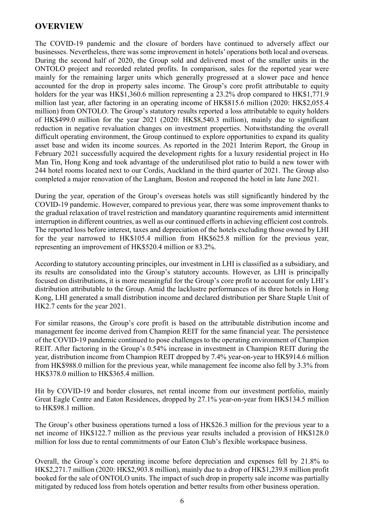# OVERVIEW

The COVID-19 pandemic and the closure of borders have continued to adversely affect our businesses. Nevertheless, there was some improvement in hotels' operations both local and overseas. During the second half of 2020, the Group sold and delivered most of the smaller units in the ONTOLO project and recorded related profits. In comparison, sales for the reported year were mainly for the remaining larger units which generally progressed at a slower pace and hence accounted for the drop in property sales income. The Group's core profit attributable to equity holders for the year was HK\$1,360.6 million representing a 23.2% drop compared to HK\$1,771.9 million last year, after factoring in an operating income of HK\$815.6 million (2020: HK\$2,055.4 million) from ONTOLO. The Group's statutory results reported a loss attributable to equity holders of HK\$499.0 million for the year 2021 (2020: HK\$8,540.3 million), mainly due to significant reduction in negative revaluation changes on investment properties. Notwithstanding the overall difficult operating environment, the Group continued to explore opportunities to expand its quality asset base and widen its income sources. As reported in the 2021 Interim Report, the Group in February 2021 successfully acquired the development rights for a luxury residential project in Ho Man Tin, Hong Kong and took advantage of the underutilised plot ratio to build a new tower with 244 hotel rooms located next to our Cordis, Auckland in the third quarter of 2021. The Group also completed a major renovation of the Langham, Boston and reopened the hotel in late June 2021.

During the year, operation of the Group's overseas hotels was still significantly hindered by the COVID-19 pandemic. However, compared to previous year, there was some improvement thanks to the gradual relaxation of travel restriction and mandatory quarantine requirements amid intermittent interruption in different countries, as well as our continued efforts in achieving efficient cost controls. The reported loss before interest, taxes and depreciation of the hotels excluding those owned by LHI for the year narrowed to HK\$105.4 million from HK\$625.8 million for the previous year, representing an improvement of HK\$520.4 million or 83.2%.

According to statutory accounting principles, our investment in LHI is classified as a subsidiary, and its results are consolidated into the Group's statutory accounts. However, as LHI is principally focused on distributions, it is more meaningful for the Group's core profit to account for only LHI's distribution attributable to the Group. Amid the lacklustre performances of its three hotels in Hong Kong, LHI generated a small distribution income and declared distribution per Share Staple Unit of HK2.7 cents for the year 2021.

For similar reasons, the Group's core profit is based on the attributable distribution income and management fee income derived from Champion REIT for the same financial year. The persistence of the COVID-19 pandemic continued to pose challenges to the operating environment of Champion REIT. After factoring in the Group's 0.54% increase in investment in Champion REIT during the year, distribution income from Champion REIT dropped by 7.4% year-on-year to HK\$914.6 million from HK\$988.0 million for the previous year, while management fee income also fell by 3.3% from HK\$378.0 million to HK\$365.4 million.

Hit by COVID-19 and border closures, net rental income from our investment portfolio, mainly Great Eagle Centre and Eaton Residences, dropped by 27.1% year-on-year from HK\$134.5 million to HK\$98.1 million.

The Group's other business operations turned a loss of HK\$26.3 million for the previous year to a net income of HK\$122.7 million as the previous year results included a provision of HK\$128.0 million for loss due to rental commitments of our Eaton Club's flexible workspace business.

Overall, the Group's core operating income before depreciation and expenses fell by 21.8% to HK\$2,271.7 million (2020: HK\$2,903.8 million), mainly due to a drop of HK\$1,239.8 million profit booked for the sale of ONTOLO units. The impact of such drop in property sale income was partially mitigated by reduced loss from hotels operation and better results from other business operation.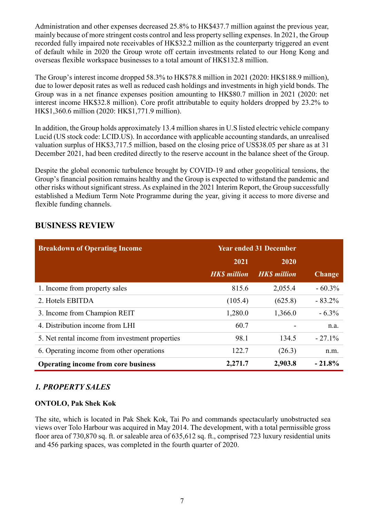Administration and other expenses decreased 25.8% to HK\$437.7 million against the previous year, mainly because of more stringent costs control and less property selling expenses. In 2021, the Group recorded fully impaired note receivables of HK\$32.2 million as the counterparty triggered an event of default while in 2020 the Group wrote off certain investments related to our Hong Kong and overseas flexible workspace businesses to a total amount of HK\$132.8 million.

The Group's interest income dropped 58.3% to HK\$78.8 million in 2021 (2020: HK\$188.9 million), due to lower deposit rates as well as reduced cash holdings and investments in high yield bonds. The Group was in a net finance expenses position amounting to HK\$80.7 million in 2021 (2020: net interest income HK\$32.8 million). Core profit attributable to equity holders dropped by 23.2% to HK\$1,360.6 million (2020: HK\$1,771.9 million).

In addition, the Group holds approximately 13.4 million shares in U.S listed electric vehicle company Lucid (US stock code: LCID.US). In accordance with applicable accounting standards, an unrealised valuation surplus of HK\$3,717.5 million, based on the closing price of US\$38.05 per share as at 31 December 2021, had been credited directly to the reserve account in the balance sheet of the Group.

Despite the global economic turbulence brought by COVID-19 and other geopolitical tensions, the Group's financial position remains healthy and the Group is expected to withstand the pandemic and other risks without significant stress. As explained in the 2021 Interim Report, the Group successfully established a Medium Term Note Programme during the year, giving it access to more diverse and flexible funding channels.

| <b>Breakdown of Operating Income</b>            | <b>Year ended 31 December</b> |                    |               |
|-------------------------------------------------|-------------------------------|--------------------|---------------|
|                                                 | 2021                          | 2020               |               |
|                                                 | <b>HKS</b> million            | <b>HKS</b> million | <b>Change</b> |
| 1. Income from property sales                   | 815.6                         | 2,055.4            | $-60.3\%$     |
| 2. Hotels EBITDA                                | (105.4)                       | (625.8)            | $-83.2\%$     |
| 3. Income from Champion REIT                    | 1,280.0                       | 1,366.0            | $-6.3\%$      |
| 4. Distribution income from LHI                 | 60.7                          |                    | n.a.          |
| 5. Net rental income from investment properties | 98.1                          | 134.5              | $-27.1\%$     |
| 6. Operating income from other operations       | 122.7                         | (26.3)             | n.m.          |
| <b>Operating income from core business</b>      | 2,271.7                       | 2,903.8            | $-21.8%$      |

# BUSINESS REVIEW

### 1. PROPERTY SALES

### ONTOLO, Pak Shek Kok

The site, which is located in Pak Shek Kok, Tai Po and commands spectacularly unobstructed sea views over Tolo Harbour was acquired in May 2014. The development, with a total permissible gross floor area of 730,870 sq. ft. or saleable area of 635,612 sq. ft., comprised 723 luxury residential units and 456 parking spaces, was completed in the fourth quarter of 2020.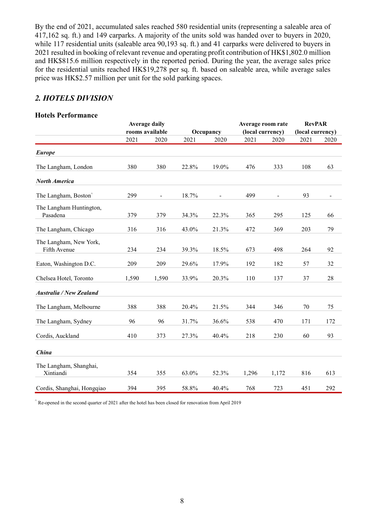By the end of 2021, accumulated sales reached 580 residential units (representing a saleable area of 417,162 sq. ft.) and 149 carparks. A majority of the units sold was handed over to buyers in 2020, while 117 residential units (saleable area 90,193 sq. ft.) and 41 carparks were delivered to buyers in 2021 resulted in booking of relevant revenue and operating profit contribution of HK\$1,802.0 million and HK\$815.6 million respectively in the reported period. During the year, the average sales price for the residential units reached HK\$19,278 per sq. ft. based on saleable area, while average sales price was HK\$2.57 million per unit for the sold parking spaces.

# 2. HOTELS DIVISION

#### Hotels Performance

|                                        |       | <b>Average daily</b> |       |                | Average room rate |                          | <b>RevPAR</b>    |      |
|----------------------------------------|-------|----------------------|-------|----------------|-------------------|--------------------------|------------------|------|
|                                        |       | rooms available      |       | Occupancy      | (local currency)  |                          | (local currency) |      |
|                                        | 2021  | 2020                 | 2021  | 2020           | 2021              | 2020                     | 2021             | 2020 |
| <b>Europe</b>                          |       |                      |       |                |                   |                          |                  |      |
| The Langham, London                    | 380   | 380                  | 22.8% | 19.0%          | 476               | 333                      | 108              | 63   |
| <b>North America</b>                   |       |                      |       |                |                   |                          |                  |      |
| The Langham, Boston <sup>^</sup>       | 299   | $\blacksquare$       | 18.7% | $\blacksquare$ | 499               | $\overline{\phantom{a}}$ | 93               |      |
| The Langham Huntington,<br>Pasadena    | 379   | 379                  | 34.3% | 22.3%          | 365               | 295                      | 125              | 66   |
| The Langham, Chicago                   | 316   | 316                  | 43.0% | 21.3%          | 472               | 369                      | 203              | 79   |
| The Langham, New York,<br>Fifth Avenue | 234   | 234                  | 39.3% | 18.5%          | 673               | 498                      | 264              | 92   |
| Eaton, Washington D.C.                 | 209   | 209                  | 29.6% | 17.9%          | 192               | 182                      | 57               | 32   |
| Chelsea Hotel, Toronto                 | 1,590 | 1,590                | 33.9% | 20.3%          | 110               | 137                      | 37               | 28   |
| <b>Australia / New Zealand</b>         |       |                      |       |                |                   |                          |                  |      |
| The Langham, Melbourne                 | 388   | 388                  | 20.4% | 21.5%          | 344               | 346                      | 70               | 75   |
| The Langham, Sydney                    | 96    | 96                   | 31.7% | 36.6%          | 538               | 470                      | 171              | 172  |
| Cordis, Auckland                       | 410   | 373                  | 27.3% | 40.4%          | 218               | 230                      | 60               | 93   |
| China                                  |       |                      |       |                |                   |                          |                  |      |
| The Langham, Shanghai,<br>Xintiandi    | 354   | 355                  | 63.0% | 52.3%          | 1,296             | 1,172                    | 816              | 613  |
| Cordis, Shanghai, Hongqiao             | 394   | 395                  | 58.8% | 40.4%          | 768               | 723                      | 451              | 292  |

 $\hat{R}$  Re-opened in the second quarter of 2021 after the hotel has been closed for renovation from April 2019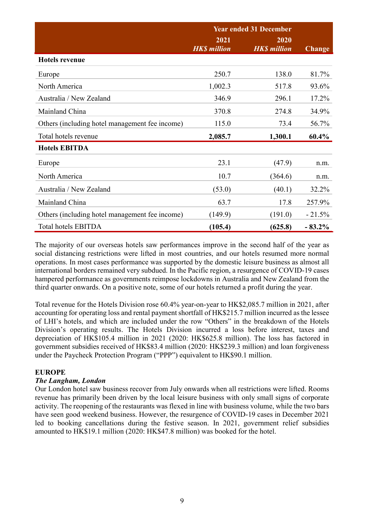|                                                | <b>Year ended 31 December</b> |                             |               |
|------------------------------------------------|-------------------------------|-----------------------------|---------------|
|                                                | 2021<br><b>HK\$</b> million   | 2020<br><b>HK\$</b> million | <b>Change</b> |
| <b>Hotels revenue</b>                          |                               |                             |               |
| Europe                                         | 250.7                         | 138.0                       | 81.7%         |
| North America                                  | 1,002.3                       | 517.8                       | 93.6%         |
| Australia / New Zealand                        | 346.9                         | 296.1                       | 17.2%         |
| Mainland China                                 | 370.8                         | 274.8                       | 34.9%         |
| Others (including hotel management fee income) | 115.0                         | 73.4                        | 56.7%         |
| Total hotels revenue                           | 2,085.7                       | 1,300.1                     | 60.4%         |
| <b>Hotels EBITDA</b>                           |                               |                             |               |
| Europe                                         | 23.1                          | (47.9)                      | n.m.          |
| North America                                  | 10.7                          | (364.6)                     | n.m.          |
| Australia / New Zealand                        | (53.0)                        | (40.1)                      | 32.2%         |
| Mainland China                                 | 63.7                          | 17.8                        | 257.9%        |
| Others (including hotel management fee income) | (149.9)                       | (191.0)                     | $-21.5%$      |
| <b>Total hotels EBITDA</b>                     | (105.4)                       | (625.8)                     | $-83.2%$      |

The majority of our overseas hotels saw performances improve in the second half of the year as social distancing restrictions were lifted in most countries, and our hotels resumed more normal operations. In most cases performance was supported by the domestic leisure business as almost all international borders remained very subdued. In the Pacific region, a resurgence of COVID-19 cases hampered performance as governments reimpose lockdowns in Australia and New Zealand from the third quarter onwards. On a positive note, some of our hotels returned a profit during the year.

Total revenue for the Hotels Division rose 60.4% year-on-year to HK\$2,085.7 million in 2021, after accounting for operating loss and rental payment shortfall of HK\$215.7 million incurred as the lessee of LHI's hotels, and which are included under the row "Others" in the breakdown of the Hotels Division's operating results. The Hotels Division incurred a loss before interest, taxes and depreciation of HK\$105.4 million in 2021 (2020: HK\$625.8 million). The loss has factored in government subsidies received of HK\$83.4 million (2020: HK\$239.3 million) and loan forgiveness under the Paycheck Protection Program ("PPP") equivalent to HK\$90.1 million.

#### EUROPE

#### The Langham, London

Our London hotel saw business recover from July onwards when all restrictions were lifted. Rooms revenue has primarily been driven by the local leisure business with only small signs of corporate activity. The reopening of the restaurants was flexed in line with business volume, while the two bars have seen good weekend business. However, the resurgence of COVID-19 cases in December 2021 led to booking cancellations during the festive season. In 2021, government relief subsidies amounted to HK\$19.1 million (2020: HK\$47.8 million) was booked for the hotel.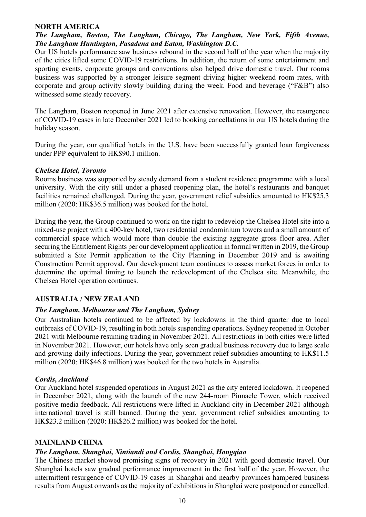#### NORTH AMERICA

### The Langham, Boston, The Langham, Chicago, The Langham, New York, Fifth Avenue, The Langham Huntington, Pasadena and Eaton, Washington D.C.

Our US hotels performance saw business rebound in the second half of the year when the majority of the cities lifted some COVID-19 restrictions. In addition, the return of some entertainment and sporting events, corporate groups and conventions also helped drive domestic travel. Our rooms business was supported by a stronger leisure segment driving higher weekend room rates, with corporate and group activity slowly building during the week. Food and beverage ("F&B") also witnessed some steady recovery.

The Langham, Boston reopened in June 2021 after extensive renovation. However, the resurgence of COVID-19 cases in late December 2021 led to booking cancellations in our US hotels during the holiday season.

During the year, our qualified hotels in the U.S. have been successfully granted loan forgiveness under PPP equivalent to HK\$90.1 million.

#### Chelsea Hotel, Toronto

Rooms business was supported by steady demand from a student residence programme with a local university. With the city still under a phased reopening plan, the hotel's restaurants and banquet facilities remained challenged. During the year, government relief subsidies amounted to HK\$25.3 million (2020: HK\$36.5 million) was booked for the hotel.

During the year, the Group continued to work on the right to redevelop the Chelsea Hotel site into a mixed-use project with a 400-key hotel, two residential condominium towers and a small amount of commercial space which would more than double the existing aggregate gross floor area. After securing the Entitlement Rights per our development application in formal written in 2019, the Group submitted a Site Permit application to the City Planning in December 2019 and is awaiting Construction Permit approval. Our development team continues to assess market forces in order to determine the optimal timing to launch the redevelopment of the Chelsea site. Meanwhile, the Chelsea Hotel operation continues.

#### AUSTRALIA / NEW ZEALAND

#### The Langham, Melbourne and The Langham, Sydney

Our Australian hotels continued to be affected by lockdowns in the third quarter due to local outbreaks of COVID-19, resulting in both hotels suspending operations. Sydney reopened in October 2021 with Melbourne resuming trading in November 2021. All restrictions in both cities were lifted in November 2021. However, our hotels have only seen gradual business recovery due to large scale and growing daily infections. During the year, government relief subsidies amounting to HK\$11.5 million (2020: HK\$46.8 million) was booked for the two hotels in Australia.

#### Cordis, Auckland

Our Auckland hotel suspended operations in August 2021 as the city entered lockdown. It reopened in December 2021, along with the launch of the new 244-room Pinnacle Tower, which received positive media feedback. All restrictions were lifted in Auckland city in December 2021 although international travel is still banned. During the year, government relief subsidies amounting to HK\$23.2 million (2020: HK\$26.2 million) was booked for the hotel.

#### MAINLAND CHINA

#### The Langham, Shanghai, Xintiandi and Cordis, Shanghai, Hongqiao

The Chinese market showed promising signs of recovery in 2021 with good domestic travel. Our Shanghai hotels saw gradual performance improvement in the first half of the year. However, the intermittent resurgence of COVID-19 cases in Shanghai and nearby provinces hampered business results from August onwards as the majority of exhibitions in Shanghai were postponed or cancelled.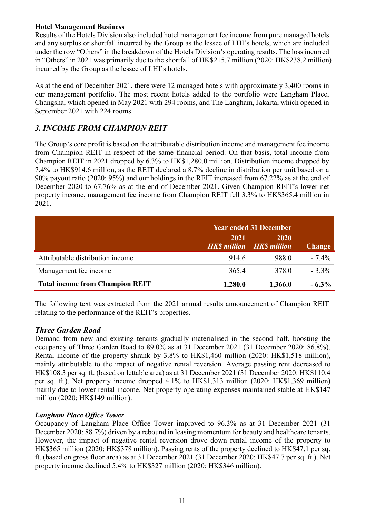### Hotel Management Business

Results of the Hotels Division also included hotel management fee income from pure managed hotels and any surplus or shortfall incurred by the Group as the lessee of LHI's hotels, which are included under the row "Others" in the breakdown of the Hotels Division's operating results. The loss incurred in "Others" in 2021 was primarily due to the shortfall of HK\$215.7 million (2020: HK\$238.2 million) incurred by the Group as the lessee of LHI's hotels.

As at the end of December 2021, there were 12 managed hotels with approximately 3,400 rooms in our management portfolio. The most recent hotels added to the portfolio were Langham Place, Changsha, which opened in May 2021 with 294 rooms, and The Langham, Jakarta, which opened in September 2021 with 224 rooms.

# 3. INCOME FROM CHAMPION REIT

The Group's core profit is based on the attributable distribution income and management fee income from Champion REIT in respect of the same financial period. On that basis, total income from Champion REIT in 2021 dropped by 6.3% to HK\$1,280.0 million. Distribution income dropped by 7.4% to HK\$914.6 million, as the REIT declared a 8.7% decline in distribution per unit based on a 90% payout ratio (2020: 95%) and our holdings in the REIT increased from 67.22% as at the end of December 2020 to 67.76% as at the end of December 2021. Given Champion REIT's lower net property income, management fee income from Champion REIT fell 3.3% to HK\$365.4 million in 2021.

|                                        | <b>Year ended 31 December</b> |                                               |               |
|----------------------------------------|-------------------------------|-----------------------------------------------|---------------|
|                                        | 2021                          | 2020<br><b>HKS</b> million <b>HKS</b> million | <b>Change</b> |
| Attributable distribution income       | 914.6                         | 988.0                                         | $-7.4\%$      |
| Management fee income                  | 365.4                         | 378.0                                         | $-3.3\%$      |
| <b>Total income from Champion REIT</b> | 1,280.0                       | 1,366.0                                       | $-6.3\%$      |

The following text was extracted from the 2021 annual results announcement of Champion REIT relating to the performance of the REIT's properties.

### Three Garden Road

Demand from new and existing tenants gradually materialised in the second half, boosting the occupancy of Three Garden Road to 89.0% as at 31 December 2021 (31 December 2020: 86.8%). Rental income of the property shrank by 3.8% to HK\$1,460 million (2020: HK\$1,518 million), mainly attributable to the impact of negative rental reversion. Average passing rent decreased to HK\$108.3 per sq. ft. (based on lettable area) as at 31 December 2021 (31 December 2020: HK\$110.4 per sq. ft.). Net property income dropped 4.1% to HK\$1,313 million (2020: HK\$1,369 million) mainly due to lower rental income. Net property operating expenses maintained stable at HK\$147 million (2020: HK\$149 million).

#### Langham Place Office Tower

Occupancy of Langham Place Office Tower improved to 96.3% as at 31 December 2021 (31 December 2020: 88.7%) driven by a rebound in leasing momentum for beauty and healthcare tenants. However, the impact of negative rental reversion drove down rental income of the property to HK\$365 million (2020: HK\$378 million). Passing rents of the property declined to HK\$47.1 per sq. ft. (based on gross floor area) as at 31 December 2021 (31 December 2020: HK\$47.7 per sq. ft.). Net property income declined 5.4% to HK\$327 million (2020: HK\$346 million).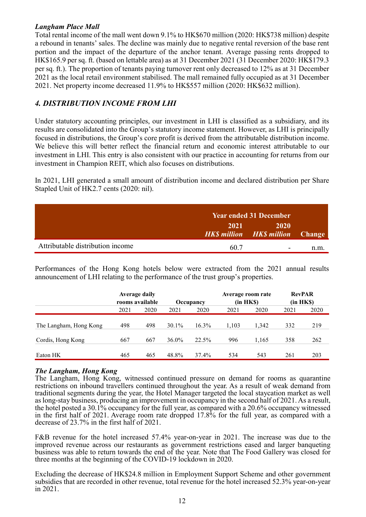### Langham Place Mall

Total rental income of the mall went down 9.1% to HK\$670 million (2020: HK\$738 million) despite a rebound in tenants' sales. The decline was mainly due to negative rental reversion of the base rent portion and the impact of the departure of the anchor tenant. Average passing rents dropped to HK\$165.9 per sq. ft. (based on lettable area) as at 31 December 2021 (31 December 2020: HK\$179.3 per sq. ft.). The proportion of tenants paying turnover rent only decreased to 12% as at 31 December 2021 as the local retail environment stabilised. The mall remained fully occupied as at 31 December 2021. Net property income decreased 11.9% to HK\$557 million (2020: HK\$632 million).

# 4. DISTRIBUTION INCOME FROM LHI

Under statutory accounting principles, our investment in LHI is classified as a subsidiary, and its results are consolidated into the Group's statutory income statement. However, as LHI is principally focused in distributions, the Group's core profit is derived from the attributable distribution income. We believe this will better reflect the financial return and economic interest attributable to our investment in LHI. This entry is also consistent with our practice in accounting for returns from our investment in Champion REIT, which also focuses on distributions.

In 2021, LHI generated a small amount of distribution income and declared distribution per Share Stapled Unit of HK2.7 cents (2020: nil).

|                                  | <b>Year ended 31 December</b> |                                          |      |
|----------------------------------|-------------------------------|------------------------------------------|------|
|                                  | 2021                          | 2020<br>HK\$ million HK\$ million Change |      |
| Attributable distribution income | 60.7                          | $\overline{\phantom{0}}$                 | n.m. |

Performances of the Hong Kong hotels below were extracted from the 2021 annual results announcement of LHI relating to the performance of the trust group's properties.

|                        | <b>Average daily</b><br>rooms available |      | Occupancy |          | Average room rate<br>(in HKS) |       | <b>RevPAR</b><br>(in HKS) |      |
|------------------------|-----------------------------------------|------|-----------|----------|-------------------------------|-------|---------------------------|------|
|                        | 2021                                    | 2020 | 2021      | 2020     | 2021                          | 2020  | 2021                      | 2020 |
| The Langham, Hong Kong | 498                                     | 498  | 30.1%     | $16.3\%$ | 1.103                         | 1.342 | 332                       | 219  |
| Cordis, Hong Kong      | 667                                     | 667  | $36.0\%$  | 22.5%    | 996                           | 1.165 | 358                       | 262  |
| Eaton HK               | 465                                     | 465  | 48.8%     | 37.4%    | 534                           | 543   | 261                       | 203  |

### The Langham, Hong Kong

The Langham, Hong Kong, witnessed continued pressure on demand for rooms as quarantine restrictions on inbound travellers continued throughout the year. As a result of weak demand from traditional segments during the year, the Hotel Manager targeted the local staycation market as well as long-stay business, producing an improvement in occupancy in the second half of 2021. As a result, the hotel posted a 30.1% occupancy for the full year, as compared with a 20.6% occupancy witnessed in the first half of 2021. Average room rate dropped 17.8% for the full year, as compared with a decrease of 23.7% in the first half of 2021.

F&B revenue for the hotel increased 57.4% year-on-year in 2021. The increase was due to the improved revenue across our restaurants as government restrictions eased and larger banqueting business was able to return towards the end of the year. Note that The Food Gallery was closed for three months at the beginning of the COVID-19 lockdown in 2020.

Excluding the decrease of HK\$24.8 million in Employment Support Scheme and other government subsidies that are recorded in other revenue, total revenue for the hotel increased 52.3% year-on-year in 2021.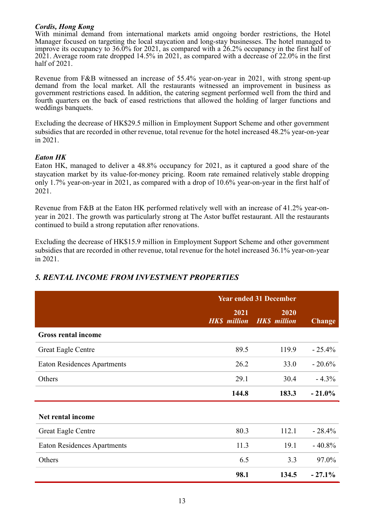#### Cordis, Hong Kong

With minimal demand from international markets amid ongoing border restrictions, the Hotel Manager focused on targeting the local staycation and long-stay businesses. The hotel managed to improve its occupancy to 36.0% for 2021, as compared with a 26.2% occupancy in the first half of 2021. Average room rate dropped 14.5% in 2021, as compared with a decrease of 22.0% in the first half of 2021.

Revenue from F&B witnessed an increase of 55.4% year-on-year in 2021, with strong spent-up demand from the local market. All the restaurants witnessed an improvement in business as government restrictions eased. In addition, the catering segment performed well from the third and fourth quarters on the back of eased restrictions that allowed the holding of larger functions and weddings banquets.

Excluding the decrease of HK\$29.5 million in Employment Support Scheme and other government subsidies that are recorded in other revenue, total revenue for the hotel increased 48.2% year-on-year in 2021.

#### Eaton HK

Eaton HK, managed to deliver a 48.8% occupancy for 2021, as it captured a good share of the staycation market by its value-for-money pricing. Room rate remained relatively stable dropping only 1.7% year-on-year in 2021, as compared with a drop of 10.6% year-on-year in the first half of 2021.

Revenue from F&B at the Eaton HK performed relatively well with an increase of 41.2% year-onyear in 2021. The growth was particularly strong at The Astor buffet restaurant. All the restaurants continued to build a strong reputation after renovations.

Excluding the decrease of HK\$15.9 million in Employment Support Scheme and other government subsidies that are recorded in other revenue, total revenue for the hotel increased 36.1% year-on-year in 2021.

|                                    | <b>Year ended 31 December</b> |                             |               |
|------------------------------------|-------------------------------|-----------------------------|---------------|
|                                    | 2021<br><b>HK\$</b> million   | 2020<br><b>HK\$</b> million | <b>Change</b> |
| <b>Gross rental income</b>         |                               |                             |               |
| <b>Great Eagle Centre</b>          | 89.5                          | 119.9                       | $-25.4%$      |
| <b>Eaton Residences Apartments</b> | 26.2                          | 33.0                        | $-20.6%$      |
| Others                             | 29.1                          | 30.4                        | $-4.3%$       |
|                                    | 144.8                         | 183.3                       | $-21.0%$      |
| Net rental income                  |                               |                             |               |
| <b>Great Eagle Centre</b>          | 80.3                          | 112.1                       | $-28.4%$      |
| <b>Eaton Residences Apartments</b> | 11.3                          | 19.1                        | $-40.8%$      |
| Others                             | 6.5                           | 3.3                         | 97.0%         |
|                                    | 98.1                          | 134.5                       | $-27.1%$      |

# 5. RENTAL INCOME FROM INVESTMENT PROPERTIES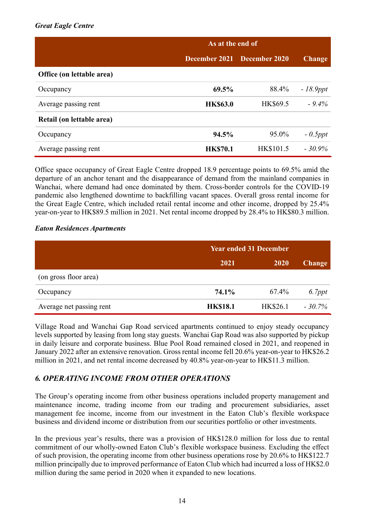### Great Eagle Centre

|                           | As at the end of |                             |               |
|---------------------------|------------------|-----------------------------|---------------|
|                           |                  | December 2021 December 2020 | <b>Change</b> |
| Office (on lettable area) |                  |                             |               |
| Occupancy                 | 69.5%            | 88.4%                       | $-18.9$ ppt   |
| Average passing rent      | <b>HK\$63.0</b>  | HK\$69.5                    | $-9.4\%$      |
| Retail (on lettable area) |                  |                             |               |
| Occupancy                 | 94.5%            | 95.0%                       | $-0.5$ ppt    |
| Average passing rent      | <b>HK\$70.1</b>  | HK\$101.5                   | $-30.9\%$     |

Office space occupancy of Great Eagle Centre dropped 18.9 percentage points to 69.5% amid the departure of an anchor tenant and the disappearance of demand from the mainland companies in Wanchai, where demand had once dominated by them. Cross-border controls for the COVID-19 pandemic also lengthened downtime to backfilling vacant spaces. Overall gross rental income for the Great Eagle Centre, which included retail rental income and other income, dropped by 25.4% year-on-year to HK\$89.5 million in 2021. Net rental income dropped by 28.4% to HK\$80.3 million.

#### Eaton Residences Apartments

|                          | <b>Year ended 31 December</b> |          |               |
|--------------------------|-------------------------------|----------|---------------|
|                          | 2021                          | 2020     | <b>Change</b> |
| (on gross floor area)    |                               |          |               |
| Occupancy                | 74.1%                         | 67.4%    | $6.7$ ppt     |
| Average net passing rent | <b>HK\$18.1</b>               | HK\$26.1 | $-30.7\%$     |

Village Road and Wanchai Gap Road serviced apartments continued to enjoy steady occupancy levels supported by leasing from long stay guests. Wanchai Gap Road was also supported by pickup in daily leisure and corporate business. Blue Pool Road remained closed in 2021, and reopened in January 2022 after an extensive renovation. Gross rental income fell 20.6% year-on-year to HK\$26.2 million in 2021, and net rental income decreased by 40.8% year-on-year to HK\$11.3 million.

# 6. OPERATING INCOME FROM OTHER OPERATIONS

The Group's operating income from other business operations included property management and maintenance income, trading income from our trading and procurement subsidiaries, asset management fee income, income from our investment in the Eaton Club's flexible workspace business and dividend income or distribution from our securities portfolio or other investments.

In the previous year's results, there was a provision of HK\$128.0 million for loss due to rental commitment of our wholly-owned Eaton Club's flexible workspace business. Excluding the effect of such provision, the operating income from other business operations rose by 20.6% to HK\$122.7 million principally due to improved performance of Eaton Club which had incurred a loss of HK\$2.0 million during the same period in 2020 when it expanded to new locations.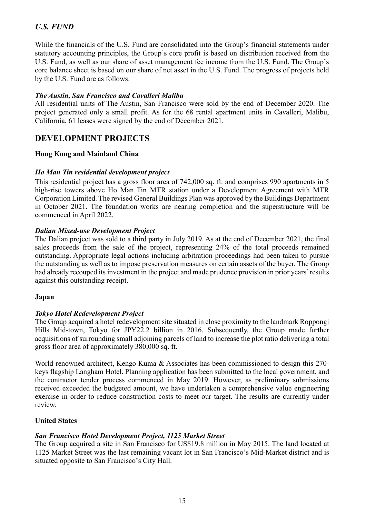# U.S. FUND

While the financials of the U.S. Fund are consolidated into the Group's financial statements under statutory accounting principles, the Group's core profit is based on distribution received from the U.S. Fund, as well as our share of asset management fee income from the U.S. Fund. The Group's core balance sheet is based on our share of net asset in the U.S. Fund. The progress of projects held by the U.S. Fund are as follows:

### The Austin, San Francisco and Cavalleri Malibu

All residential units of The Austin, San Francisco were sold by the end of December 2020. The project generated only a small profit. As for the 68 rental apartment units in Cavalleri, Malibu, California, 61 leases were signed by the end of December 2021.

# DEVELOPMENT PROJECTS

#### Hong Kong and Mainland China

#### Ho Man Tin residential development project

This residential project has a gross floor area of 742,000 sq. ft. and comprises 990 apartments in 5 high-rise towers above Ho Man Tin MTR station under a Development Agreement with MTR Corporation Limited. The revised General Buildings Plan was approved by the Buildings Department in October 2021. The foundation works are nearing completion and the superstructure will be commenced in April 2022.

#### Dalian Mixed-use Development Project

The Dalian project was sold to a third party in July 2019. As at the end of December 2021, the final sales proceeds from the sale of the project, representing 24% of the total proceeds remained outstanding. Appropriate legal actions including arbitration proceedings had been taken to pursue the outstanding as well as to impose preservation measures on certain assets of the buyer. The Group had already recouped its investment in the project and made prudence provision in prior years' results against this outstanding receipt.

#### Japan

#### Tokyo Hotel Redevelopment Project

The Group acquired a hotel redevelopment site situated in close proximity to the landmark Roppongi Hills Mid-town, Tokyo for JPY22.2 billion in 2016. Subsequently, the Group made further acquisitions of surrounding small adjoining parcels of land to increase the plot ratio delivering a total gross floor area of approximately 380,000 sq. ft.

World-renowned architect, Kengo Kuma & Associates has been commissioned to design this 270 keys flagship Langham Hotel. Planning application has been submitted to the local government, and the contractor tender process commenced in May 2019. However, as preliminary submissions received exceeded the budgeted amount, we have undertaken a comprehensive value engineering exercise in order to reduce construction costs to meet our target. The results are currently under review.

#### United States

#### San Francisco Hotel Development Project, 1125 Market Street

The Group acquired a site in San Francisco for US\$19.8 million in May 2015. The land located at 1125 Market Street was the last remaining vacant lot in San Francisco's Mid-Market district and is situated opposite to San Francisco's City Hall.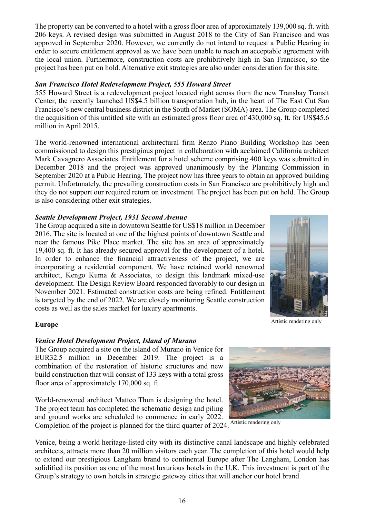The property can be converted to a hotel with a gross floor area of approximately 139,000 sq. ft. with 206 keys. A revised design was submitted in August 2018 to the City of San Francisco and was approved in September 2020. However, we currently do not intend to request a Public Hearing in order to secure entitlement approval as we have been unable to reach an acceptable agreement with the local union. Furthermore, construction costs are prohibitively high in San Francisco, so the project has been put on hold. Alternative exit strategies are also under consideration for this site.

#### San Francisco Hotel Redevelopment Project, 555 Howard Street

555 Howard Street is a redevelopment project located right across from the new Transbay Transit Center, the recently launched US\$4.5 billion transportation hub, in the heart of The East Cut San Francisco's new central business district in the South of Market (SOMA) area. The Group completed the acquisition of this untitled site with an estimated gross floor area of 430,000 sq. ft. for US\$45.6 million in April 2015.

The world-renowned international architectural firm Renzo Piano Building Workshop has been commissioned to design this prestigious project in collaboration with acclaimed California architect Mark Cavagnero Associates. Entitlement for a hotel scheme comprising 400 keys was submitted in December 2018 and the project was approved unanimously by the Planning Commission in September 2020 at a Public Hearing. The project now has three years to obtain an approved building permit. Unfortunately, the prevailing construction costs in San Francisco are prohibitively high and they do not support our required return on investment. The project has been put on hold. The Group is also considering other exit strategies.

#### Seattle Development Project, 1931 Second Avenue

The Group acquired a site in downtown Seattle for US\$18 million in December 2016. The site is located at one of the highest points of downtown Seattle and near the famous Pike Place market. The site has an area of approximately 19,400 sq. ft. It has already secured approval for the development of a hotel. In order to enhance the financial attractiveness of the project, we are incorporating a residential component. We have retained world renowned architect, Kengo Kuma & Associates, to design this landmark mixed-use development. The Design Review Board responded favorably to our design in November 2021. Estimated construction costs are being refined. Entitlement is targeted by the end of 2022. We are closely monitoring Seattle construction costs as well as the sales market for luxury apartments.



Artistic rendering only

#### Europe

### Venice Hotel Development Project, Island of Murano

The Group acquired a site on the island of Murano in Venice for EUR32.5 million in December 2019. The project is a combination of the restoration of historic structures and new build construction that will consist of 133 keys with a total gross floor area of approximately 170,000 sq. ft.

World-renowned architect Matteo Thun is designing the hotel. The project team has completed the schematic design and piling and ground works are scheduled to commence in early 2022.



Completion of the project is planned for the third quarter of 2024. Artistic rendering only

Venice, being a world heritage-listed city with its distinctive canal landscape and highly celebrated architects, attracts more than 20 million visitors each year. The completion of this hotel would help to extend our prestigious Langham brand to continental Europe after The Langham, London has solidified its position as one of the most luxurious hotels in the U.K. This investment is part of the Group's strategy to own hotels in strategic gateway cities that will anchor our hotel brand.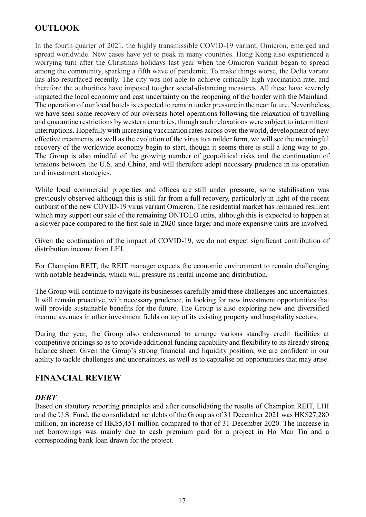# **OUTLOOK**

In the fourth quarter of 2021, the highly transmissible COVID-19 variant, Omicron, emerged and spread worldwide. New cases have yet to peak in many countries. Hong Kong also experienced a worrying turn after the Christmas holidays last year when the Omicron variant began to spread among the community, sparking a fifth wave of pandemic. To make things worse, the Delta variant has also resurfaced recently. The city was not able to achieve critically high vaccination rate, and therefore the authorities have imposed tougher social-distancing measures. All these have severely impacted the local economy and cast uncertainty on the reopening of the border with the Mainland. The operation of our local hotels is expected to remain under pressure in the near future. Nevertheless, we have seen some recovery of our overseas hotel operations following the relaxation of travelling and quarantine restrictions by western countries, though such relaxations were subject to intermittent interruptions. Hopefully with increasing vaccination rates across over the world, development of new effective treatments, as well as the evolution of the virus to a milder form, we will see the meaningful recovery of the worldwide economy begin to start, though it seems there is still a long way to go. The Group is also mindful of the growing number of geopolitical risks and the continuation of tensions between the U.S. and China, and will therefore adopt necessary prudence in its operation and investment strategies.

While local commercial properties and offices are still under pressure, some stabilisation was previously observed although this is still far from a full recovery, particularly in light of the recent outburst of the new COVID-19 virus variant Omicron. The residential market has remained resilient which may support our sale of the remaining ONTOLO units, although this is expected to happen at a slower pace compared to the first sale in 2020 since larger and more expensive units are involved.

Given the continuation of the impact of COVID-19, we do not expect significant contribution of distribution income from LHI.

For Champion REIT, the REIT manager expects the economic environment to remain challenging with notable headwinds, which will pressure its rental income and distribution.

The Group will continue to navigate its businesses carefully amid these challenges and uncertainties. It will remain proactive, with necessary prudence, in looking for new investment opportunities that will provide sustainable benefits for the future. The Group is also exploring new and diversified income avenues in other investment fields on top of its existing property and hospitality sectors.

During the year, the Group also endeavoured to arrange various standby credit facilities at competitive pricings so as to provide additional funding capability and flexibility to its already strong balance sheet. Given the Group's strong financial and liquidity position, we are confident in our ability to tackle challenges and uncertainties, as well as to capitalise on opportunities that may arise.

### FINANCIAL REVIEW

### **DEBT**

Based on statutory reporting principles and after consolidating the results of Champion REIT, LHI and the U.S. Fund, the consolidated net debts of the Group as of 31 December 2021 was HK\$27,280 million, an increase of HK\$5,451 million compared to that of 31 December 2020. The increase in net borrowings was mainly due to cash premium paid for a project in Ho Man Tin and a corresponding bank loan drawn for the project.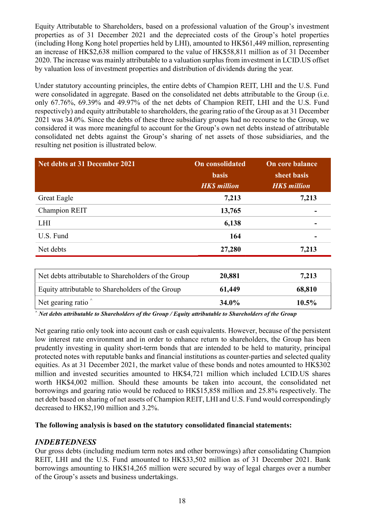Equity Attributable to Shareholders, based on a professional valuation of the Group's investment properties as of 31 December 2021 and the depreciated costs of the Group's hotel properties (including Hong Kong hotel properties held by LHI), amounted to HK\$61,449 million, representing an increase of HK\$2,638 million compared to the value of HK\$58,811 million as of 31 December 2020. The increase was mainly attributable to a valuation surplus from investment in LCID.US offset by valuation loss of investment properties and distribution of dividends during the year.

Under statutory accounting principles, the entire debts of Champion REIT, LHI and the U.S. Fund were consolidated in aggregate. Based on the consolidated net debts attributable to the Group (i.e. only 67.76%, 69.39% and 49.97% of the net debts of Champion REIT, LHI and the U.S. Fund respectively) and equity attributable to shareholders, the gearing ratio of the Group as at 31 December 2021 was 34.0%. Since the debts of these three subsidiary groups had no recourse to the Group, we considered it was more meaningful to account for the Group's own net debts instead of attributable consolidated net debts against the Group's sharing of net assets of those subsidiaries, and the resulting net position is illustrated below.

| Net debts at 31 December 2021                       | <b>On consolidated</b><br><b>basis</b><br><b>HK\$</b> million | On core balance<br>sheet basis<br><b>HK\$</b> million |
|-----------------------------------------------------|---------------------------------------------------------------|-------------------------------------------------------|
| <b>Great Eagle</b>                                  | 7,213                                                         | 7,213                                                 |
| Champion REIT                                       | 13,765                                                        |                                                       |
| <b>LHI</b>                                          | 6,138                                                         |                                                       |
| U.S. Fund                                           | 164                                                           |                                                       |
| Net debts                                           | 27,280                                                        | 7,213                                                 |
|                                                     |                                                               |                                                       |
| Net debts attributable to Shareholders of the Group | 20,881                                                        | 7,213                                                 |
| Equity attributable to Shareholders of the Group    | 61,449                                                        | 68,810                                                |
| Net gearing ratio                                   | 34.0%                                                         | 10.5%                                                 |

 $\hat{\ }$  Net debts attributable to Shareholders of the Group / Equity attributable to Shareholders of the Group

Net gearing ratio only took into account cash or cash equivalents. However, because of the persistent low interest rate environment and in order to enhance return to shareholders, the Group has been prudently investing in quality short-term bonds that are intended to be held to maturity, principal protected notes with reputable banks and financial institutions as counter-parties and selected quality equities. As at 31 December 2021, the market value of these bonds and notes amounted to HK\$302 million and invested securities amounted to HK\$4,721 million which included LCID.US shares worth HK\$4,002 million. Should these amounts be taken into account, the consolidated net borrowings and gearing ratio would be reduced to HK\$15,858 million and 25.8% respectively. The net debt based on sharing of net assets of Champion REIT, LHI and U.S. Fund would correspondingly decreased to HK\$2,190 million and 3.2%.

#### The following analysis is based on the statutory consolidated financial statements:

### INDEBTEDNESS

Our gross debts (including medium term notes and other borrowings) after consolidating Champion REIT, LHI and the U.S. Fund amounted to HK\$33,502 million as of 31 December 2021. Bank borrowings amounting to HK\$14,265 million were secured by way of legal charges over a number of the Group's assets and business undertakings.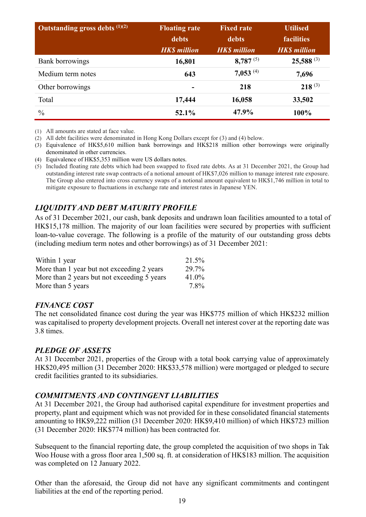| Outstanding gross debts $(1)(2)$ | <b>Floating rate</b><br>debts<br><b>HK\$</b> million | <b>Fixed rate</b><br>debts<br><b>HK\$</b> million | <b>Utilised</b><br><b>facilities</b><br><b>HK\$</b> million |
|----------------------------------|------------------------------------------------------|---------------------------------------------------|-------------------------------------------------------------|
| Bank borrowings                  | 16,801                                               | $8,787^{(5)}$                                     | $25,588^{(3)}$                                              |
| Medium term notes                | 643                                                  | $7,053^{(4)}$                                     | 7,696                                                       |
| Other borrowings                 |                                                      | 218                                               | $218^{(3)}$                                                 |
| Total                            | 17,444                                               | 16,058                                            | 33,502                                                      |
| $\frac{0}{0}$                    | 52.1%                                                | 47.9%                                             | 100%                                                        |

(1) All amounts are stated at face value.

(2) All debt facilities were denominated in Hong Kong Dollars except for (3) and (4) below.

(3) Equivalence of HK\$5,610 million bank borrowings and HK\$218 million other borrowings were originally denominated in other currencies.

73.8%

(4) Equivalence of HK\$5,353 million were US dollars notes.

(5) Included floating rate debts which had been swapped to fixed rate debts. As at 31 December 2021, the Group had outstanding interest rate swap contracts of a notional amount of HK\$7,026 million to manage interest rate exposure. The Group also entered into cross currency swaps of a notional amount equivalent to HK\$1,746 million in total to mitigate exposure to fluctuations in exchange rate and interest rates in Japanese YEN.

# LIQUIDITY AND DEBT MATURITY PROFILE

As of 31 December 2021, our cash, bank deposits and undrawn loan facilities amounted to a total of HK\$15,178 million. The majority of our loan facilities were secured by properties with sufficient loan-to-value coverage. The following is a profile of the maturity of our outstanding gross debts (including medium term notes and other borrowings) as of 31 December 2021:

| Within 1 year                               | 21.5% |
|---------------------------------------------|-------|
| More than 1 year but not exceeding 2 years  | 29.7% |
| More than 2 years but not exceeding 5 years | 41.0% |
| More than 5 years                           | 7.8%  |

### FINANCE COST

The net consolidated finance cost during the year was HK\$775 million of which HK\$232 million was capitalised to property development projects. Overall net interest cover at the reporting date was 3.8 times.

### PLEDGE OF ASSETS

At 31 December 2021, properties of the Group with a total book carrying value of approximately HK\$20,495 million (31 December 2020: HK\$33,578 million) were mortgaged or pledged to secure credit facilities granted to its subsidiaries.

# COMMITMENTS AND CONTINGENT LIABILITIES

At 31 December 2021, the Group had authorised capital expenditure for investment properties and property, plant and equipment which was not provided for in these consolidated financial statements amounting to HK\$9,222 million (31 December 2020: HK\$9,410 million) of which HK\$723 million (31 December 2020: HK\$774 million) has been contracted for.

Subsequent to the financial reporting date, the group completed the acquisition of two shops in Tak Woo House with a gross floor area 1,500 sq. ft. at consideration of HK\$183 million. The acquisition was completed on 12 January 2022.

Other than the aforesaid, the Group did not have any significant commitments and contingent liabilities at the end of the reporting period.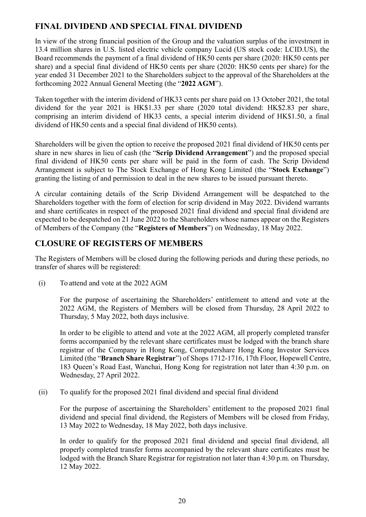# FINAL DIVIDEND AND SPECIAL FINAL DIVIDEND

In view of the strong financial position of the Group and the valuation surplus of the investment in 13.4 million shares in U.S. listed electric vehicle company Lucid (US stock code: LCID.US), the Board recommends the payment of a final dividend of HK50 cents per share (2020: HK50 cents per share) and a special final dividend of HK50 cents per share (2020: HK50 cents per share) for the year ended 31 December 2021 to the Shareholders subject to the approval of the Shareholders at the forthcoming 2022 Annual General Meeting (the "2022 AGM").

Taken together with the interim dividend of HK33 cents per share paid on 13 October 2021, the total dividend for the year 2021 is HK\$1.33 per share (2020 total dividend: HK\$2.83 per share, comprising an interim dividend of HK33 cents, a special interim dividend of HK\$1.50, a final dividend of HK50 cents and a special final dividend of HK50 cents).

Shareholders will be given the option to receive the proposed 2021 final dividend of HK50 cents per share in new shares in lieu of cash (the "Scrip Dividend Arrangement") and the proposed special final dividend of HK50 cents per share will be paid in the form of cash. The Scrip Dividend Arrangement is subject to The Stock Exchange of Hong Kong Limited (the "Stock Exchange") granting the listing of and permission to deal in the new shares to be issued pursuant thereto.

A circular containing details of the Scrip Dividend Arrangement will be despatched to the Shareholders together with the form of election for scrip dividend in May 2022. Dividend warrants and share certificates in respect of the proposed 2021 final dividend and special final dividend are expected to be despatched on 21 June 2022 to the Shareholders whose names appear on the Registers of Members of the Company (the "Registers of Members") on Wednesday, 18 May 2022.

# CLOSURE OF REGISTERS OF MEMBERS

The Registers of Members will be closed during the following periods and during these periods, no transfer of shares will be registered:

(i) To attend and vote at the 2022 AGM

For the purpose of ascertaining the Shareholders' entitlement to attend and vote at the 2022 AGM, the Registers of Members will be closed from Thursday, 28 April 2022 to Thursday, 5 May 2022, both days inclusive.

In order to be eligible to attend and vote at the 2022 AGM, all properly completed transfer forms accompanied by the relevant share certificates must be lodged with the branch share registrar of the Company in Hong Kong, Computershare Hong Kong Investor Services Limited (the "Branch Share Registrar") of Shops 1712-1716, 17th Floor, Hopewell Centre, 183 Queen's Road East, Wanchai, Hong Kong for registration not later than 4:30 p.m. on Wednesday, 27 April 2022.

(ii) To qualify for the proposed 2021 final dividend and special final dividend

For the purpose of ascertaining the Shareholders' entitlement to the proposed 2021 final dividend and special final dividend, the Registers of Members will be closed from Friday, 13 May 2022 to Wednesday, 18 May 2022, both days inclusive.

In order to qualify for the proposed 2021 final dividend and special final dividend, all properly completed transfer forms accompanied by the relevant share certificates must be lodged with the Branch Share Registrar for registration not later than 4:30 p.m. on Thursday, 12 May 2022.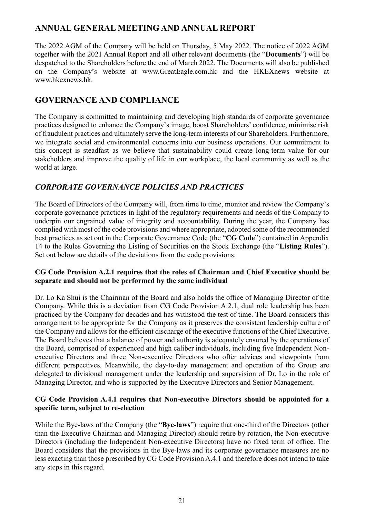# ANNUAL GENERAL MEETING AND ANNUAL REPORT

The 2022 AGM of the Company will be held on Thursday, 5 May 2022. The notice of 2022 AGM together with the 2021 Annual Report and all other relevant documents (the "Documents") will be despatched to the Shareholders before the end of March 2022. The Documents will also be published on the Company's website at www.GreatEagle.com.hk and the HKEXnews website at www.hkexnews.hk.

# GOVERNANCE AND COMPLIANCE

The Company is committed to maintaining and developing high standards of corporate governance practices designed to enhance the Company's image, boost Shareholders' confidence, minimise risk of fraudulent practices and ultimately serve the long-term interests of our Shareholders. Furthermore, we integrate social and environmental concerns into our business operations. Our commitment to this concept is steadfast as we believe that sustainability could create long-term value for our stakeholders and improve the quality of life in our workplace, the local community as well as the world at large.

# CORPORATE GOVERNANCE POLICIES AND PRACTICES

The Board of Directors of the Company will, from time to time, monitor and review the Company's corporate governance practices in light of the regulatory requirements and needs of the Company to underpin our engrained value of integrity and accountability. During the year, the Company has complied with most of the code provisions and where appropriate, adopted some of the recommended best practices as set out in the Corporate Governance Code (the "CG Code") contained in Appendix 14 to the Rules Governing the Listing of Securities on the Stock Exchange (the "Listing Rules"). Set out below are details of the deviations from the code provisions:

### CG Code Provision A.2.1 requires that the roles of Chairman and Chief Executive should be separate and should not be performed by the same individual

Dr. Lo Ka Shui is the Chairman of the Board and also holds the office of Managing Director of the Company. While this is a deviation from CG Code Provision A.2.1, dual role leadership has been practiced by the Company for decades and has withstood the test of time. The Board considers this arrangement to be appropriate for the Company as it preserves the consistent leadership culture of the Company and allows for the efficient discharge of the executive functions of the Chief Executive. The Board believes that a balance of power and authority is adequately ensured by the operations of the Board, comprised of experienced and high caliber individuals, including five Independent Nonexecutive Directors and three Non-executive Directors who offer advices and viewpoints from different perspectives. Meanwhile, the day-to-day management and operation of the Group are delegated to divisional management under the leadership and supervision of Dr. Lo in the role of Managing Director, and who is supported by the Executive Directors and Senior Management.

### CG Code Provision A.4.1 requires that Non-executive Directors should be appointed for a specific term, subject to re-election

While the Bye-laws of the Company (the "Bye-laws") require that one-third of the Directors (other than the Executive Chairman and Managing Director) should retire by rotation, the Non-executive Directors (including the Independent Non-executive Directors) have no fixed term of office. The Board considers that the provisions in the Bye-laws and its corporate governance measures are no less exacting than those prescribed by CG Code Provision A.4.1 and therefore does not intend to take any steps in this regard.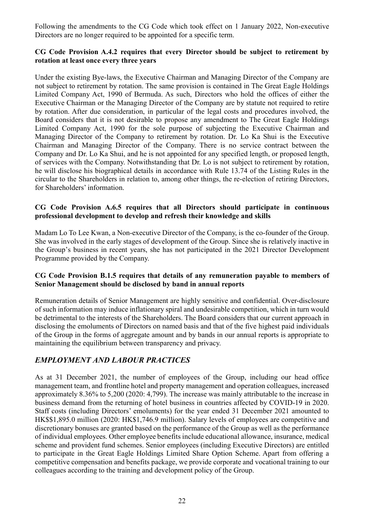Following the amendments to the CG Code which took effect on 1 January 2022, Non-executive Directors are no longer required to be appointed for a specific term.

### CG Code Provision A.4.2 requires that every Director should be subject to retirement by rotation at least once every three years

Under the existing Bye-laws, the Executive Chairman and Managing Director of the Company are not subject to retirement by rotation. The same provision is contained in The Great Eagle Holdings Limited Company Act, 1990 of Bermuda. As such, Directors who hold the offices of either the Executive Chairman or the Managing Director of the Company are by statute not required to retire by rotation. After due consideration, in particular of the legal costs and procedures involved, the Board considers that it is not desirable to propose any amendment to The Great Eagle Holdings Limited Company Act, 1990 for the sole purpose of subjecting the Executive Chairman and Managing Director of the Company to retirement by rotation. Dr. Lo Ka Shui is the Executive Chairman and Managing Director of the Company. There is no service contract between the Company and Dr. Lo Ka Shui, and he is not appointed for any specified length, or proposed length, of services with the Company. Notwithstanding that Dr. Lo is not subject to retirement by rotation, he will disclose his biographical details in accordance with Rule 13.74 of the Listing Rules in the circular to the Shareholders in relation to, among other things, the re-election of retiring Directors, for Shareholders' information.

### CG Code Provision A.6.5 requires that all Directors should participate in continuous professional development to develop and refresh their knowledge and skills

Madam Lo To Lee Kwan, a Non-executive Director of the Company, is the co-founder of the Group. She was involved in the early stages of development of the Group. Since she is relatively inactive in the Group's business in recent years, she has not participated in the 2021 Director Development Programme provided by the Company.

### CG Code Provision B.1.5 requires that details of any remuneration payable to members of Senior Management should be disclosed by band in annual reports

Remuneration details of Senior Management are highly sensitive and confidential. Over-disclosure of such information may induce inflationary spiral and undesirable competition, which in turn would be detrimental to the interests of the Shareholders. The Board considers that our current approach in disclosing the emoluments of Directors on named basis and that of the five highest paid individuals of the Group in the forms of aggregate amount and by bands in our annual reports is appropriate to maintaining the equilibrium between transparency and privacy.

# EMPLOYMENT AND LABOUR PRACTICES

As at 31 December 2021, the number of employees of the Group, including our head office management team, and frontline hotel and property management and operation colleagues, increased approximately 8.36% to 5,200 (2020: 4,799). The increase was mainly attributable to the increase in business demand from the returning of hotel business in countries affected by COVID-19 in 2020. Staff costs (including Directors' emoluments) for the year ended 31 December 2021 amounted to HK\$\$1,895.0 million (2020: HK\$1,746.9 million). Salary levels of employees are competitive and discretionary bonuses are granted based on the performance of the Group as well as the performance of individual employees. Other employee benefits include educational allowance, insurance, medical scheme and provident fund schemes. Senior employees (including Executive Directors) are entitled to participate in the Great Eagle Holdings Limited Share Option Scheme. Apart from offering a competitive compensation and benefits package, we provide corporate and vocational training to our colleagues according to the training and development policy of the Group.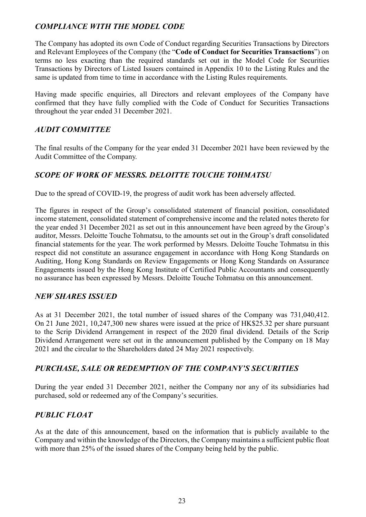# COMPLIANCE WITH THE MODEL CODE

The Company has adopted its own Code of Conduct regarding Securities Transactions by Directors and Relevant Employees of the Company (the "Code of Conduct for Securities Transactions") on terms no less exacting than the required standards set out in the Model Code for Securities Transactions by Directors of Listed Issuers contained in Appendix 10 to the Listing Rules and the same is updated from time to time in accordance with the Listing Rules requirements.

Having made specific enquiries, all Directors and relevant employees of the Company have confirmed that they have fully complied with the Code of Conduct for Securities Transactions throughout the year ended 31 December 2021.

### AUDIT COMMITTEE

The final results of the Company for the year ended 31 December 2021 have been reviewed by the Audit Committee of the Company.

### SCOPE OF WORK OF MESSRS. DELOITTE TOUCHE TOHMATSU

Due to the spread of COVID-19, the progress of audit work has been adversely affected.

The figures in respect of the Group's consolidated statement of financial position, consolidated income statement, consolidated statement of comprehensive income and the related notes thereto for the year ended 31 December 2021 as set out in this announcement have been agreed by the Group's auditor, Messrs. Deloitte Touche Tohmatsu, to the amounts set out in the Group's draft consolidated financial statements for the year. The work performed by Messrs. Deloitte Touche Tohmatsu in this respect did not constitute an assurance engagement in accordance with Hong Kong Standards on Auditing, Hong Kong Standards on Review Engagements or Hong Kong Standards on Assurance Engagements issued by the Hong Kong Institute of Certified Public Accountants and consequently no assurance has been expressed by Messrs. Deloitte Touche Tohmatsu on this announcement.

### NEW SHARES ISSUED

As at 31 December 2021, the total number of issued shares of the Company was 731,040,412. On 21 June 2021, 10,247,300 new shares were issued at the price of HK\$25.32 per share pursuant to the Scrip Dividend Arrangement in respect of the 2020 final dividend. Details of the Scrip Dividend Arrangement were set out in the announcement published by the Company on 18 May 2021 and the circular to the Shareholders dated 24 May 2021 respectively.

### PURCHASE, SALE OR REDEMPTION OF THE COMPANY'S SECURITIES

During the year ended 31 December 2021, neither the Company nor any of its subsidiaries had purchased, sold or redeemed any of the Company's securities.

### PUBLIC FLOAT

As at the date of this announcement, based on the information that is publicly available to the Company and within the knowledge of the Directors, the Company maintains a sufficient public float with more than 25% of the issued shares of the Company being held by the public.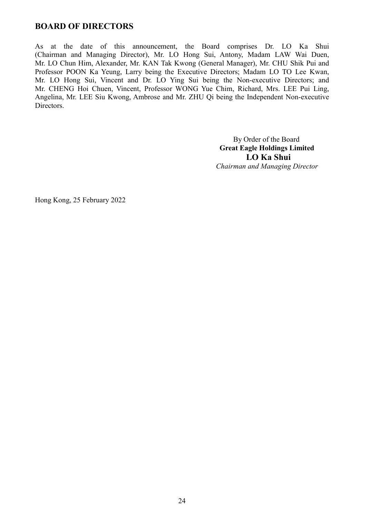# BOARD OF DIRECTORS

As at the date of this announcement, the Board comprises Dr. LO Ka Shui (Chairman and Managing Director), Mr. LO Hong Sui, Antony, Madam LAW Wai Duen, Mr. LO Chun Him, Alexander, Mr. KAN Tak Kwong (General Manager), Mr. CHU Shik Pui and Professor POON Ka Yeung, Larry being the Executive Directors; Madam LO TO Lee Kwan, Mr. LO Hong Sui, Vincent and Dr. LO Ying Sui being the Non-executive Directors; and Mr. CHENG Hoi Chuen, Vincent, Professor WONG Yue Chim, Richard, Mrs. LEE Pui Ling, Angelina, Mr. LEE Siu Kwong, Ambrose and Mr. ZHU Qi being the Independent Non-executive Directors.

> By Order of the Board Great Eagle Holdings Limited LO Ka Shui Chairman and Managing Director

Hong Kong, 25 February 2022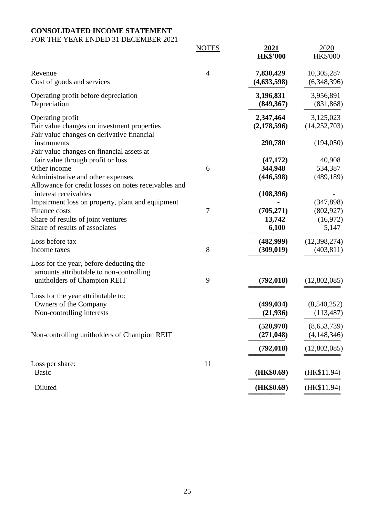# **CONSOLIDATED INCOME STATEMENT**

### FOR THE YEAR ENDED 31 DECEMBER 2021

|                                                                                                                                                                   | <b>NOTES</b>   | 2021<br><b>HK\$'000</b>                     | 2020<br><b>HK\$'000</b>                        |
|-------------------------------------------------------------------------------------------------------------------------------------------------------------------|----------------|---------------------------------------------|------------------------------------------------|
| Revenue<br>Cost of goods and services                                                                                                                             | $\overline{4}$ | 7,830,429<br>(4, 633, 598)                  | 10,305,287<br>(6,348,396)                      |
| Operating profit before depreciation<br>Depreciation                                                                                                              |                | 3,196,831<br>(849, 367)                     | 3,956,891<br>(831, 868)                        |
| Operating profit<br>Fair value changes on investment properties                                                                                                   |                | 2,347,464<br>(2,178,596)                    | 3,125,023<br>(14, 252, 703)                    |
| Fair value changes on derivative financial<br>instruments<br>Fair value changes on financial assets at                                                            |                | 290,780                                     | (194,050)                                      |
| fair value through profit or loss<br>Other income<br>Administrative and other expenses<br>Allowance for credit losses on notes receivables and                    | 6              | (47, 172)<br>344,948<br>(446, 598)          | 40,908<br>534,387<br>(489, 189)                |
| interest receivables<br>Impairment loss on property, plant and equipment<br>Finance costs<br>Share of results of joint ventures<br>Share of results of associates | 7              | (108, 396)<br>(705, 271)<br>13,742<br>6,100 | (347, 898)<br>(802, 927)<br>(16, 972)<br>5,147 |
| Loss before tax<br>Income taxes                                                                                                                                   | 8              | (482,999)<br>(309, 019)                     | (12, 398, 274)<br>(403, 811)                   |
| Loss for the year, before deducting the<br>amounts attributable to non-controlling<br>unitholders of Champion REIT                                                | 9              | (792, 018)                                  | (12,802,085)                                   |
| Loss for the year attributable to:<br>Owners of the Company<br>Non-controlling interests                                                                          |                | (499, 034)<br>(21, 936)                     | (8,540,252)<br>(113, 487)                      |
| Non-controlling unitholders of Champion REIT                                                                                                                      |                | (520, 970)<br>(271, 048)                    | (8,653,739)<br>(4, 148, 346)                   |
| Loss per share:<br><b>Basic</b>                                                                                                                                   | 11             | (792, 018)<br>(HK\$0.69)                    | (12,802,085)<br>(HK\$11.94)                    |
| Diluted                                                                                                                                                           |                | (HK\$0.69)                                  | (HK\$11.94)                                    |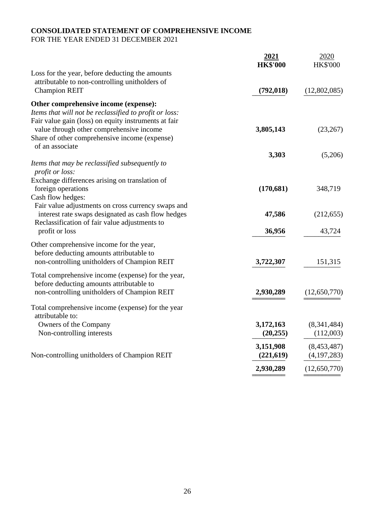# **CONSOLIDATED STATEMENT OF COMPREHENSIVE INCOME**

FOR THE YEAR ENDED 31 DECEMBER 2021

|                                                        | <u>2021</u><br><b>HK\$'000</b> | 2020<br><b>HK\$'000</b> |
|--------------------------------------------------------|--------------------------------|-------------------------|
| Loss for the year, before deducting the amounts        |                                |                         |
| attributable to non-controlling unitholders of         |                                |                         |
| <b>Champion REIT</b>                                   | (792, 018)                     | (12,802,085)            |
| Other comprehensive income (expense):                  |                                |                         |
| Items that will not be reclassified to profit or loss: |                                |                         |
| Fair value gain (loss) on equity instruments at fair   |                                |                         |
| value through other comprehensive income               | 3,805,143                      | (23, 267)               |
| Share of other comprehensive income (expense)          |                                |                         |
| of an associate                                        |                                |                         |
|                                                        | 3,303                          | (5,206)                 |
| Items that may be reclassified subsequently to         |                                |                         |
| profit or loss:                                        |                                |                         |
| Exchange differences arising on translation of         |                                |                         |
| foreign operations                                     | (170, 681)                     | 348,719                 |
| Cash flow hedges:                                      |                                |                         |
| Fair value adjustments on cross currency swaps and     |                                |                         |
| interest rate swaps designated as cash flow hedges     | 47,586                         | (212, 655)              |
| Reclassification of fair value adjustments to          |                                |                         |
| profit or loss                                         | 36,956                         | 43,724                  |
| Other comprehensive income for the year,               |                                |                         |
| before deducting amounts attributable to               |                                |                         |
| non-controlling unitholders of Champion REIT           | 3,722,307                      | 151,315                 |
| Total comprehensive income (expense) for the year,     |                                |                         |
| before deducting amounts attributable to               |                                |                         |
| non-controlling unitholders of Champion REIT           | 2,930,289                      | (12,650,770)            |
|                                                        |                                |                         |
| Total comprehensive income (expense) for the year      |                                |                         |
| attributable to:                                       |                                |                         |
| Owners of the Company                                  | 3,172,163                      | (8,341,484)             |
| Non-controlling interests                              | (20, 255)                      | (112,003)               |
|                                                        | 3,151,908                      | (8,453,487)             |
| Non-controlling unitholders of Champion REIT           | (221, 619)                     | (4, 197, 283)           |
|                                                        | 2,930,289                      | (12,650,770)            |
|                                                        |                                |                         |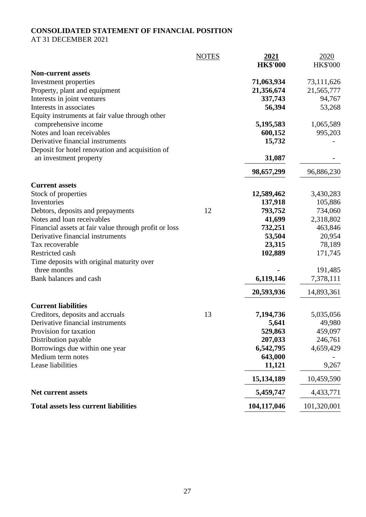# **CONSOLIDATED STATEMENT OF FINANCIAL POSITION**

AT 31 DECEMBER 2021

|                                                       | <b>NOTES</b> | 2021            | 2020            |
|-------------------------------------------------------|--------------|-----------------|-----------------|
|                                                       |              | <b>HK\$'000</b> | <b>HK\$'000</b> |
| <b>Non-current assets</b><br>Investment properties    |              | 71,063,934      | 73,111,626      |
| Property, plant and equipment                         |              | 21,356,674      | 21,565,777      |
| Interests in joint ventures                           |              | 337,743         | 94,767          |
| Interests in associates                               |              | 56,394          | 53,268          |
| Equity instruments at fair value through other        |              |                 |                 |
| comprehensive income                                  |              | 5,195,583       | 1,065,589       |
| Notes and loan receivables                            |              | 600,152         | 995,203         |
| Derivative financial instruments                      |              | 15,732          |                 |
| Deposit for hotel renovation and acquisition of       |              |                 |                 |
| an investment property                                |              | 31,087          |                 |
|                                                       |              | 98,657,299      | 96,886,230      |
| <b>Current assets</b>                                 |              |                 |                 |
| Stock of properties                                   |              | 12,589,462      | 3,430,283       |
| Inventories                                           |              | 137,918         | 105,886         |
| Debtors, deposits and prepayments                     | 12           | 793,752         | 734,060         |
| Notes and loan receivables                            |              | 41,699          | 2,318,802       |
| Financial assets at fair value through profit or loss |              | 732,251         | 463,846         |
| Derivative financial instruments                      |              | 53,504          | 20,954          |
| Tax recoverable                                       |              | 23,315          | 78,189          |
| Restricted cash                                       |              | 102,889         | 171,745         |
| Time deposits with original maturity over             |              |                 |                 |
| three months                                          |              |                 | 191,485         |
| Bank balances and cash                                |              | 6,119,146       | 7,378,111       |
|                                                       |              | 20,593,936      | 14,893,361      |
| <b>Current liabilities</b>                            |              |                 |                 |
| Creditors, deposits and accruals                      | 13           | 7,194,736       | 5,035,056       |
| Derivative financial instruments                      |              | 5,641           | 49,980          |
| Provision for taxation                                |              | 529,863         | 459,097         |
| Distribution payable                                  |              | 207,033         | 246,761         |
| Borrowings due within one year                        |              | 6,542,795       | 4,659,429       |
| Medium term notes                                     |              | 643,000         |                 |
| Lease liabilities                                     |              | 11,121          | 9,267           |
|                                                       |              | 15, 134, 189    | 10,459,590      |
| <b>Net current assets</b>                             |              | 5,459,747       | 4,433,771       |
| <b>Total assets less current liabilities</b>          |              | 104,117,046     | 101,320,001     |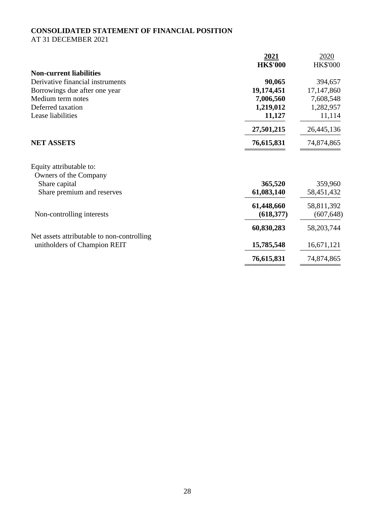# **CONSOLIDATED STATEMENT OF FINANCIAL POSITION**

AT 31 DECEMBER 2021

| 2021            | 2020            |
|-----------------|-----------------|
| <b>HK\$'000</b> | <b>HK\$'000</b> |
|                 |                 |
| 90,065          | 394,657         |
| 19,174,451      | 17,147,860      |
| 7,006,560       | 7,608,548       |
| 1,219,012       | 1,282,957       |
| 11,127          | 11,114          |
| 27,501,215      | 26,445,136      |
| 76,615,831      | 74,874,865      |
|                 |                 |
| 365,520         | 359,960         |
| 61,083,140      | 58,451,432      |
| 61,448,660      | 58,811,392      |
| (618, 377)      | (607, 648)      |
| 60,830,283      | 58, 203, 744    |
|                 |                 |
| 15,785,548      | 16,671,121      |
| 76,615,831      | 74,874,865      |
|                 |                 |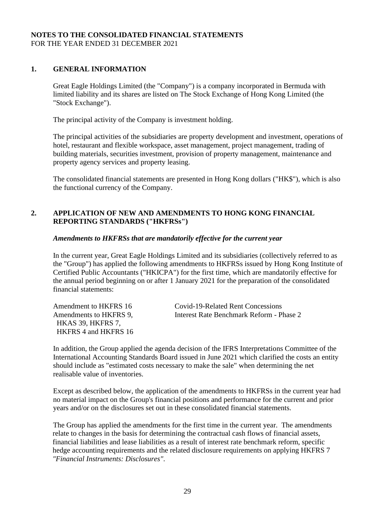### **NOTES TO THE CONSOLIDATED FINANCIAL STATEMENTS** FOR THE YEAR ENDED 31 DECEMBER 2021

### **1. GENERAL INFORMATION**

Great Eagle Holdings Limited (the "Company") is a company incorporated in Bermuda with limited liability and its shares are listed on The Stock Exchange of Hong Kong Limited (the "Stock Exchange").

The principal activity of the Company is investment holding.

The principal activities of the subsidiaries are property development and investment, operations of hotel, restaurant and flexible workspace, asset management, project management, trading of building materials, securities investment, provision of property management, maintenance and property agency services and property leasing.

The consolidated financial statements are presented in Hong Kong dollars ("HK\$"), which is also the functional currency of the Company.

### **2. APPLICATION OF NEW AND AMENDMENTS TO HONG KONG FINANCIAL REPORTING STANDARDS ("HKFRSs")**

### *Amendments to HKFRSs that are mandatorily effective for the current year*

In the current year, Great Eagle Holdings Limited and its subsidiaries (collectively referred to as the "Group") has applied the following amendments to HKFRSs issued by Hong Kong Institute of Certified Public Accountants ("HKICPA") for the first time, which are mandatorily effective for the annual period beginning on or after 1 January 2021 for the preparation of the consolidated financial statements:

Amendment to HKFRS 16 Covid-19-Related Rent Concessions Amendments to HKFRS 9, Interest Rate Benchmark Reform - Phase 2 HKAS 39, HKFRS 7, HKFRS 4 and HKFRS 16

In addition, the Group applied the agenda decision of the IFRS Interpretations Committee of the International Accounting Standards Board issued in June 2021 which clarified the costs an entity should include as "estimated costs necessary to make the sale" when determining the net realisable value of inventories.

Except as described below, the application of the amendments to HKFRSs in the current year had no material impact on the Group's financial positions and performance for the current and prior years and/or on the disclosures set out in these consolidated financial statements.

The Group has applied the amendments for the first time in the current year. The amendments relate to changes in the basis for determining the contractual cash flows of financial assets, financial liabilities and lease liabilities as a result of interest rate benchmark reform, specific hedge accounting requirements and the related disclosure requirements on applying HKFRS 7 *"Financial Instruments: Disclosures"*.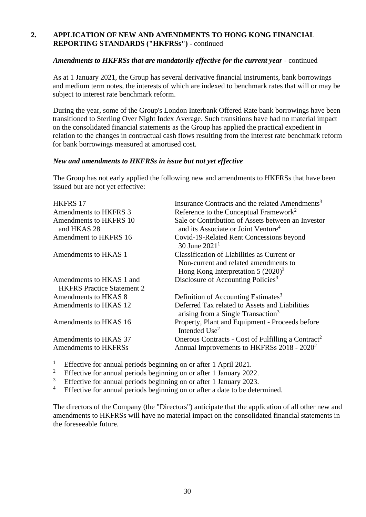### **2. APPLICATION OF NEW AND AMENDMENTS TO HONG KONG FINANCIAL REPORTING STANDARDS ("HKFRSs")** - continued

### Amendments to HKFRSs that are mandatorily effective for the current year - continued

As at 1 January 2021, the Group has several derivative financial instruments, bank borrowings and medium term notes, the interests of which are indexed to benchmark rates that will or may be subject to interest rate benchmark reform.

During the year, some of the Group's London Interbank Offered Rate bank borrowings have been transitioned to Sterling Over Night Index Average. Such transitions have had no material impact on the consolidated financial statements as the Group has applied the practical expedient in relation to the changes in contractual cash flows resulting from the interest rate benchmark reform for bank borrowings measured at amortised cost.

#### *New and amendments to HKFRSs in issue but not yet effective*

The Group has not early applied the following new and amendments to HKFRSs that have been issued but are not yet effective:

| <b>HKFRS 17</b>                                               | Insurance Contracts and the related Amendments <sup>3</sup>                                                                   |
|---------------------------------------------------------------|-------------------------------------------------------------------------------------------------------------------------------|
| Amendments to HKFRS 3                                         | Reference to the Conceptual Framework <sup>2</sup>                                                                            |
| Amendments to HKFRS 10<br>and HKAS 28                         | Sale or Contribution of Assets between an Investor<br>and its Associate or Joint Venture <sup>4</sup>                         |
| Amendment to HKFRS 16                                         | Covid-19-Related Rent Concessions beyond<br>30 June $20211$                                                                   |
| Amendments to HKAS 1                                          | Classification of Liabilities as Current or<br>Non-current and related amendments to<br>Hong Kong Interpretation 5 $(2020)^3$ |
| Amendments to HKAS 1 and<br><b>HKFRS</b> Practice Statement 2 | Disclosure of Accounting Policies <sup>3</sup>                                                                                |
| Amendments to HKAS 8                                          | Definition of Accounting Estimates <sup>3</sup>                                                                               |
| Amendments to HKAS 12                                         | Deferred Tax related to Assets and Liabilities<br>arising from a Single Transaction <sup>3</sup>                              |
| Amendments to HKAS 16                                         | Property, Plant and Equipment - Proceeds before<br>Intended Use <sup>2</sup>                                                  |
| Amendments to HKAS 37                                         | Onerous Contracts - Cost of Fulfilling a Contract <sup>2</sup>                                                                |
| <b>Amendments to HKFRSs</b>                                   | Annual Improvements to HKFRSs 2018 - 2020 <sup>2</sup>                                                                        |
|                                                               |                                                                                                                               |

<sup>1</sup> Effective for annual periods beginning on or after 1 April 2021.<br><sup>2</sup> Effective for annual periods beginning on or after 1 January 202

<sup>2</sup> Effective for annual periods beginning on or after 1 January 2022.

 $\frac{3}{4}$  Effective for annual periods beginning on or after 1 January 2023.

Effective for annual periods beginning on or after a date to be determined.

The directors of the Company (the "Directors") anticipate that the application of all other new and amendments to HKFRSs will have no material impact on the consolidated financial statements in the foreseeable future.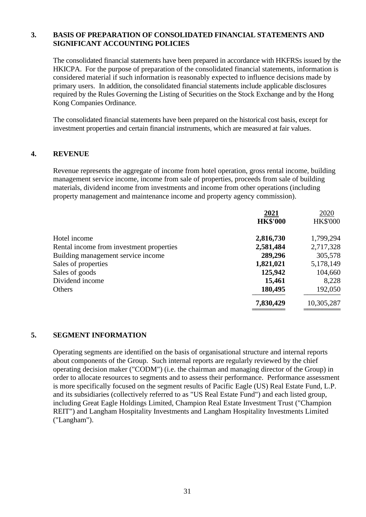### **3. BASIS OF PREPARATION OF CONSOLIDATED FINANCIAL STATEMENTS AND SIGNIFICANT ACCOUNTING POLICIES**

The consolidated financial statements have been prepared in accordance with HKFRSs issued by the HKICPA. For the purpose of preparation of the consolidated financial statements, information is considered material if such information is reasonably expected to influence decisions made by primary users. In addition, the consolidated financial statements include applicable disclosures required by the Rules Governing the Listing of Securities on the Stock Exchange and by the Hong Kong Companies Ordinance.

The consolidated financial statements have been prepared on the historical cost basis, except for investment properties and certain financial instruments, which are measured at fair values.

#### **4. REVENUE**

Revenue represents the aggregate of income from hotel operation, gross rental income, building management service income, income from sale of properties, proceeds from sale of building materials, dividend income from investments and income from other operations (including property management and maintenance income and property agency commission).

|                                          | 2021            | 2020            |
|------------------------------------------|-----------------|-----------------|
|                                          | <b>HK\$'000</b> | <b>HK\$'000</b> |
| Hotel income                             | 2,816,730       | 1,799,294       |
| Rental income from investment properties | 2,581,484       | 2,717,328       |
| Building management service income       | 289,296         | 305,578         |
| Sales of properties                      | 1,821,021       | 5,178,149       |
| Sales of goods                           | 125,942         | 104,660         |
| Dividend income                          | 15,461          | 8,228           |
| Others                                   | 180,495         | 192,050         |
|                                          | 7,830,429       | 10,305,287      |
|                                          |                 |                 |

#### **5. SEGMENT INFORMATION**

Operating segments are identified on the basis of organisational structure and internal reports about components of the Group. Such internal reports are regularly reviewed by the chief operating decision maker ("CODM") (i.e. the chairman and managing director of the Group) in order to allocate resources to segments and to assess their performance. Performance assessment is more specifically focused on the segment results of Pacific Eagle (US) Real Estate Fund, L.P. and its subsidiaries (collectively referred to as "US Real Estate Fund") and each listed group, including Great Eagle Holdings Limited, Champion Real Estate Investment Trust ("Champion REIT") and Langham Hospitality Investments and Langham Hospitality Investments Limited ("Langham").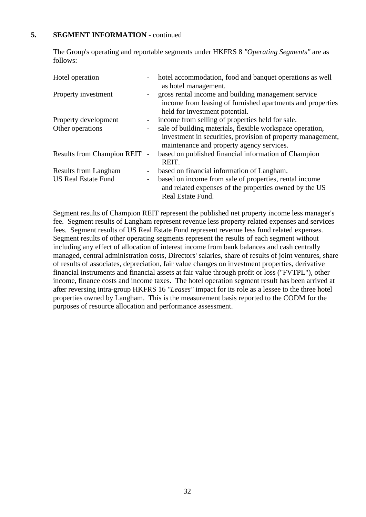### **5. SEGMENT INFORMATION** - continued

The Group's operating and reportable segments under HKFRS 8 *"Operating Segments"* are as follows:

| Hotel operation              |        | hotel accommodation, food and banquet operations as well<br>as hotel management.                                                                                      |
|------------------------------|--------|-----------------------------------------------------------------------------------------------------------------------------------------------------------------------|
| Property investment          |        | gross rental income and building management service<br>income from leasing of furnished apartments and properties<br>held for investment potential.                   |
| Property development         |        | - income from selling of properties held for sale.                                                                                                                    |
| Other operations             |        | sale of building materials, flexible workspace operation,<br>investment in securities, provision of property management,<br>maintenance and property agency services. |
| Results from Champion REIT - |        | based on published financial information of Champion<br>REIT.                                                                                                         |
| <b>Results from Langham</b>  |        | - based on financial information of Langham.                                                                                                                          |
| <b>US Real Estate Fund</b>   | $\sim$ | based on income from sale of properties, rental income<br>and related expenses of the properties owned by the US<br>Real Estate Fund.                                 |

Segment results of Champion REIT represent the published net property income less manager's fee. Segment results of Langham represent revenue less property related expenses and services fees. Segment results of US Real Estate Fund represent revenue less fund related expenses. Segment results of other operating segments represent the results of each segment without including any effect of allocation of interest income from bank balances and cash centrally managed, central administration costs, Directors' salaries, share of results of joint ventures, share of results of associates, depreciation, fair value changes on investment properties, derivative financial instruments and financial assets at fair value through profit or loss ("FVTPL"), other income, finance costs and income taxes. The hotel operation segment result has been arrived at after reversing intra-group HKFRS 16 *"Leases"* impact for its role as a lessee to the three hotel properties owned by Langham. This is the measurement basis reported to the CODM for the purposes of resource allocation and performance assessment.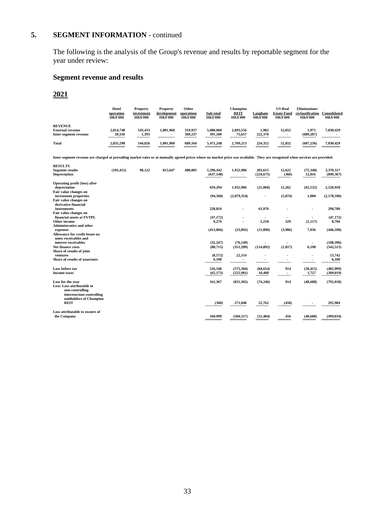### **5. SEGMENT INFORMATION** - continued

The following is the analysis of the Group's revenue and results by reportable segment for the year under review:

### **Segment revenue and results**

# **2021**

|                         | Hotel<br>operation<br><b>HK\$'000</b> | <b>Property</b><br>investment<br><b>HK\$'000</b> | <b>Property</b><br>development<br><b>HK\$'000</b> | Other<br>operations<br><b>HK\$'000</b> | Sub-total<br><b>HK\$'000</b> | Champion<br><b>REIT</b><br><b>HK\$'000</b> | Langham<br><b>HK\$'000</b> | <b>US Real</b><br><b>Estate Fund</b><br><b>HK\$'000</b> | Eliminations/<br>reclassification<br><b>HK\$'000</b> | Consolidated<br><b>HK\$'000</b> |
|-------------------------|---------------------------------------|--------------------------------------------------|---------------------------------------------------|----------------------------------------|------------------------------|--------------------------------------------|----------------------------|---------------------------------------------------------|------------------------------------------------------|---------------------------------|
| <b>REVENUE</b>          |                                       |                                                  |                                                   |                                        |                              |                                            |                            |                                                         |                                                      |                                 |
| <b>External revenue</b> | 2,814,748                             | 143.433                                          | 1.801.960                                         | 319.927                                | 5.080.068                    | 2,693,556                                  | 1.982                      | 52,852                                                  | 1.971                                                | 7,830,429                       |
| Inter-segment revenue   | 20.550                                | 1,393                                            | $\blacksquare$                                    | 369,237                                | 391.180                      | 75,657                                     | 222,370                    | $\overline{\phantom{a}}$                                | (689.207)                                            |                                 |
| <b>Total</b>            | 2,835,298<br>---------                | 144,826<br>-------                               | 1.801.960<br>--------                             | 689.164<br>-------                     | 5.471.248<br>--------        | 2.769.213<br>---------                     | 224.352<br>-------         | 52,852<br>-------                                       | (687.236)                                            | 7,830,429<br>---------          |

**Inter-segment revenue are charged at prevailing market rates or at mutually agreed prices where no market price was available. They are recognised when services are provided.**

| <b>RESULTS</b>                                                         |            |        |         |         |                         |                |                       |                 |                     |                         |
|------------------------------------------------------------------------|------------|--------|---------|---------|-------------------------|----------------|-----------------------|-----------------|---------------------|-------------------------|
| <b>Segment results</b><br><b>Depreciation</b>                          | (105, 412) | 98,122 | 815,647 | 488,085 | 1,296,442<br>(637, 148) | 1,932,986      | 203,615<br>(224, 675) | 12,622<br>(360) | (75, 348)<br>12,816 | 3,370,317<br>(849, 367) |
| Operating profit (loss) after<br>depreciation                          |            |        |         |         | 659,294                 | 1,932,986      | (21,060)              | 12,262          | (62, 532)           | 2,520,950               |
| Fair value changes on                                                  |            |        |         |         | (94, 368)               |                |                       | (5, 874)        |                     | (2,178,596)             |
| investment properties<br>Fair value changes on<br>derivative financial |            |        |         |         |                         | (2,079,354)    |                       |                 | 1,000               |                         |
| instruments                                                            |            |        |         |         | 228,810                 | $\blacksquare$ | 61,970                |                 | ٠                   | 290,780                 |
| Fair value changes on                                                  |            |        |         |         |                         |                |                       |                 |                     |                         |
| financial assets at FVTPL<br>Other income                              |            |        |         |         | (47, 172)<br>9,276      |                | ٠<br>1,218            | 329             | (2,117)             | (47, 172)<br>8,706      |
| <b>Administrative and other</b>                                        |            |        |         |         |                         |                |                       |                 |                     |                         |
| expenses                                                               |            |        |         |         | (413, 866)              | (23, 892)      | (11, 890)             | (3,986)         | 7,036               | (446, 598)              |
| <b>Allowance for credit losses on</b><br>notes receivables and         |            |        |         |         |                         |                |                       |                 |                     |                         |
| interest receivables                                                   |            |        |         |         | (32, 247)               | (76, 149)      |                       |                 |                     | (108, 396)              |
| Net finance costs<br>Share of results of joint                         |            |        |         |         | (80, 715)               | (351, 289)     | (114, 892)            | (1, 817)        | 6,198               | (542, 515)              |
| ventures                                                               |            |        |         |         | (8,572)                 | 22,314         |                       |                 | ٠                   | 13,742                  |
| Share of results of associates                                         |            |        |         |         | 6,100                   |                |                       |                 |                     | 6,100                   |
| Loss before tax                                                        |            |        |         |         | 226,540                 | (575, 384)     | (84, 654)             | 914             | (50, 415)           | (482,999)               |
| <b>Income taxes</b>                                                    |            |        |         |         | (65, 173)               | (255,981)      | 10,408                | ٠               | 1,727               | (309, 019)              |
| Loss for the year                                                      |            |        |         |         | 161,367                 | (831, 365)     | (74, 246)             | 914             | (48, 688)           | (792, 018)              |
| Less: Loss attributable to<br>non-controlling                          |            |        |         |         |                         |                |                       |                 |                     |                         |
| interests/non-controlling<br>unitholders of Champion                   |            |        |         |         |                         |                |                       |                 |                     |                         |
| <b>REIT</b>                                                            |            |        |         |         | (368)                   | 271,048        | 22,762                | (458)           |                     | 292,984                 |
| Loss attributable to owners of                                         |            |        |         |         |                         |                |                       |                 |                     |                         |
| the Company                                                            |            |        |         |         | 160,999                 | (560, 317)     | (51, 484)             | 456             | (48, 688)           | (499, 034)              |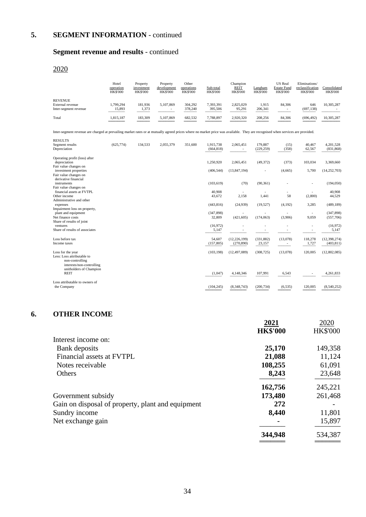# **5. SEGMENT INFORMATION** - continued

### **Segment revenue and results** - continued

# 2020

|                       | Hotel<br>operation<br><b>HK\$'000</b> | Property<br>investment<br><b>HK\$'000</b> | Property<br>development<br><b>HK\$'000</b> | Other<br>operations<br><b>HK\$'000</b> | Sub-total<br><b>HK\$'000</b> | Champion<br><b>REIT</b><br><b>HK\$'000</b> | Langham<br><b>HK\$'000</b> | <b>US</b> Real<br><b>Estate Fund</b><br><b>HK\$'000</b> | Eliminations/<br>reclassification<br><b>HK\$'000</b> | Consolidated<br><b>HK\$'000</b> |
|-----------------------|---------------------------------------|-------------------------------------------|--------------------------------------------|----------------------------------------|------------------------------|--------------------------------------------|----------------------------|---------------------------------------------------------|------------------------------------------------------|---------------------------------|
| <b>REVENUE</b>        |                                       |                                           |                                            |                                        |                              |                                            |                            |                                                         |                                                      |                                 |
| External revenue      | 1.799.294                             | 181,936                                   | 5,107,869                                  | 304.292                                | 7,393,391                    | 2.825,029                                  | 1,915                      | 84.306                                                  | 646                                                  | 10,305,287                      |
| Inter-segment revenue | 15,893                                | 1,373                                     | $\overline{\phantom{0}}$                   | 378,240                                | 395,506                      | 95,291                                     | 206,341                    | $\overline{\phantom{a}}$                                | (697, 138)                                           |                                 |
| Total                 | 1,815,187<br>---------                | 183,309                                   | 5,107,869                                  | 682,532                                | 7,788,897                    | 2.920.320                                  | 208,256                    | 84,306<br>______                                        | (696, 492)                                           | 10,305,287<br>_______           |

Inter-segment revenue are charged at prevailing market rates or at mutually agreed prices where no market price was available. They are recognised when services are provided.

| <b>RESULTS</b><br>Segment results<br>Depreciation                                               | (625, 774) | 134.533 | 2.055.379 | 351,600 | 1.915.738<br>(664, 818) | 2,065,451                    | 179,887<br>(229, 259) | (15)<br>(358) | 40.467<br>62,567 | 4,201,528<br>(831, 868)      |
|-------------------------------------------------------------------------------------------------|------------|---------|-----------|---------|-------------------------|------------------------------|-----------------------|---------------|------------------|------------------------------|
| Operating profit (loss) after<br>depreciation                                                   |            |         |           |         | 1,250,920               | 2,065,451                    | (49, 372)             | (373)         | 103,034          | 3,369,660                    |
| Fair value changes on<br>investment properties<br>Fair value changes on                         |            |         |           |         | (406, 544)              | (13, 847, 194)               | ÷,                    | (4,665)       | 5,700            | (14, 252, 703)               |
| derivative financial<br>instruments<br>Fair value changes on                                    |            |         |           |         | (103, 619)              | (70)                         | (90, 361)             |               |                  | (194, 050)                   |
| financial assets at FVTPL<br>Other income                                                       |            |         |           |         | 40.908<br>43,672        | 2,158                        | 1,441                 | ÷.<br>58      | (2,800)          | 40,908<br>44,529             |
| Administrative and other<br>expenses                                                            |            |         |           |         | (443, 816)              | (24,939)                     | (19, 527)             | (4,192)       | 3,285            | (489, 189)                   |
| Impairment loss on property,<br>plant and equipment<br>Net finance costs                        |            |         |           |         | (347, 898)<br>32,809    | (421, 605)                   | (174,063)             | (3,906)       | 9,059            | (347, 898)<br>(557,706)      |
| Share of results of joint<br>ventures<br>Share of results of associates                         |            |         |           |         | (16,972)<br>5,147       |                              |                       |               | $\sim$           | (16,972)<br>5,147            |
| Loss before tax<br>Income taxes                                                                 |            |         |           |         | 54.607<br>(157, 805)    | (12, 226, 199)<br>(270, 890) | (331, 882)<br>23,157  | (13,078)      | 118,278<br>1,727 | (12, 398, 274)<br>(403, 811) |
| Loss for the year<br>Less: Loss attributable to<br>non-controlling<br>interests/non-controlling |            |         |           |         | (103, 198)              | (12, 497, 089)               | (308, 725)            | (13,078)      | 120,005          | (12,802,085)                 |
| unitholders of Champion<br><b>REIT</b>                                                          |            |         |           |         | (1,047)                 | 4,148,346                    | 107,991               | 6,543         |                  | 4,261,833                    |
| Loss attributable to owners of<br>the Company                                                   |            |         |           |         | (104, 245)              | (8,348,743)                  | (200, 734)            | (6, 535)      | 120,005          | (8,540,252)                  |

### **6. OTHER INCOME**

|                                                   | 2021            | 2020            |
|---------------------------------------------------|-----------------|-----------------|
|                                                   | <b>HK\$'000</b> | <b>HK\$'000</b> |
| Interest income on:                               |                 |                 |
| Bank deposits                                     | 25,170          | 149,358         |
| Financial assets at FVTPL                         | 21,088          | 11,124          |
| Notes receivable                                  | 108,255         | 61,091          |
| Others                                            | 8,243           | 23,648          |
|                                                   | 162,756         | 245,221         |
| Government subsidy                                | 173,480         | 261,468         |
| Gain on disposal of property, plant and equipment | 272             |                 |
| Sundry income                                     | 8,440           | 11,801          |
| Net exchange gain                                 |                 | 15,897          |
|                                                   | 344,948         | 534,387         |
|                                                   |                 |                 |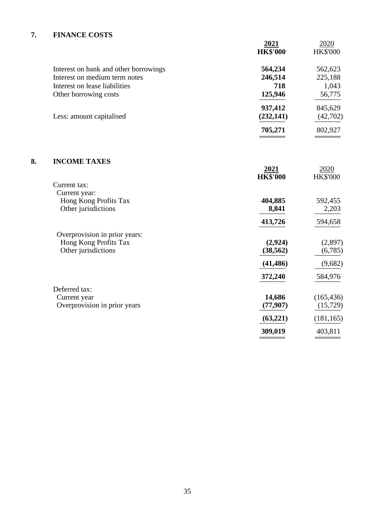# **7. FINANCE COSTS**

|    |                                       | 2021<br><b>HK\$'000</b> | 2020<br><b>HK\$'000</b> |
|----|---------------------------------------|-------------------------|-------------------------|
|    | Interest on bank and other borrowings | 564,234                 | 562,623                 |
|    | Interest on medium term notes         | 246,514                 | 225,188                 |
|    | Interest on lease liabilities         | 718                     | 1,043                   |
|    | Other borrowing costs                 | 125,946                 | 56,775                  |
|    |                                       | 937,412                 | 845,629                 |
|    | Less: amount capitalised              | (232, 141)              | (42, 702)               |
|    |                                       | 705,271                 | 802,927                 |
| 8. | <b>INCOME TAXES</b>                   |                         |                         |
|    |                                       | 2021<br><b>HK\$'000</b> | 2020<br><b>HK\$'000</b> |
|    | Current tax:                          |                         |                         |
|    | Current year:                         |                         |                         |
|    | Hong Kong Profits Tax                 | 404,885                 | 592,455                 |
|    | Other jurisdictions                   | 8,841                   | 2,203                   |
|    |                                       | 413,726                 | 594,658                 |
|    | Overprovision in prior years:         |                         |                         |
|    | Hong Kong Profits Tax                 | (2,924)                 | (2,897)                 |
|    | Other jurisdictions                   | (38, 562)               | (6,785)                 |
|    |                                       | (41, 486)               | (9,682)                 |
|    |                                       | 372,240                 | 584,976                 |
|    | Deferred tax:                         |                         |                         |
|    | Current year                          | 14,686                  | (165, 436)              |
|    | Overprovision in prior years          | (77, 907)               | (15, 729)               |
|    |                                       | (63,221)                | (181, 165)              |
|    |                                       | 309,019                 | 403,811                 |
|    |                                       |                         |                         |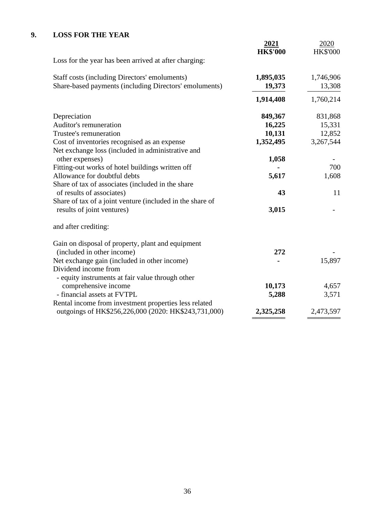# **9. LOSS FOR THE YEAR**

|                                                           | <u>2021</u>     | 2020            |
|-----------------------------------------------------------|-----------------|-----------------|
|                                                           | <b>HK\$'000</b> | <b>HK\$'000</b> |
| Loss for the year has been arrived at after charging:     |                 |                 |
| Staff costs (including Directors' emoluments)             | 1,895,035       | 1,746,906       |
| Share-based payments (including Directors' emoluments)    | 19,373          | 13,308          |
|                                                           | 1,914,408       | 1,760,214       |
| Depreciation                                              | 849,367         | 831,868         |
| Auditor's remuneration                                    | 16,225          | 15,331          |
| Trustee's remuneration                                    | 10,131          | 12,852          |
| Cost of inventories recognised as an expense              | 1,352,495       | 3,267,544       |
| Net exchange loss (included in administrative and         |                 |                 |
| other expenses)                                           | 1,058           |                 |
| Fitting-out works of hotel buildings written off          |                 | 700             |
| Allowance for doubtful debts                              | 5,617           | 1,608           |
| Share of tax of associates (included in the share         |                 |                 |
| of results of associates)                                 | 43              | 11              |
| Share of tax of a joint venture (included in the share of |                 |                 |
| results of joint ventures)                                | 3,015           |                 |
| and after crediting:                                      |                 |                 |
| Gain on disposal of property, plant and equipment         |                 |                 |
| (included in other income)                                | 272             |                 |
| Net exchange gain (included in other income)              |                 | 15,897          |
| Dividend income from                                      |                 |                 |
| - equity instruments at fair value through other          |                 |                 |
| comprehensive income                                      | 10,173          | 4,657           |
| - financial assets at FVTPL                               | 5,288           | 3,571           |
| Rental income from investment properties less related     |                 |                 |
| outgoings of HK\$256,226,000 (2020: HK\$243,731,000)      | 2,325,258       | 2,473,597       |
|                                                           |                 |                 |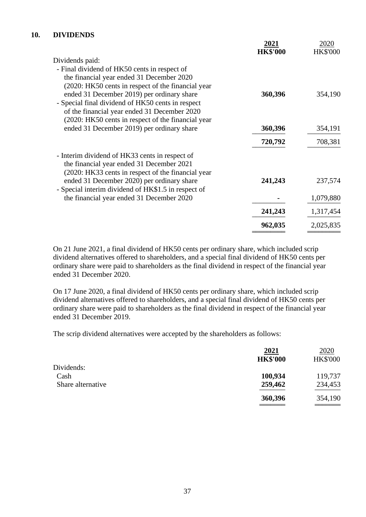### **10. DIVIDENDS**

|                                                                                                     | 2021            | 2020            |
|-----------------------------------------------------------------------------------------------------|-----------------|-----------------|
| Dividends paid:                                                                                     | <b>HK\$'000</b> | <b>HK\$'000</b> |
| - Final dividend of HK50 cents in respect of                                                        |                 |                 |
| the financial year ended 31 December 2020                                                           |                 |                 |
| (2020: HK50 cents in respect of the financial year)                                                 |                 |                 |
| ended 31 December 2019) per ordinary share                                                          | 360,396         | 354,190         |
| - Special final dividend of HK50 cents in respect                                                   |                 |                 |
| of the financial year ended 31 December 2020<br>(2020: HK50 cents in respect of the financial year) |                 |                 |
| ended 31 December 2019) per ordinary share                                                          | 360,396         | 354,191         |
|                                                                                                     |                 |                 |
|                                                                                                     | 720,792         | 708,381         |
| - Interim dividend of HK33 cents in respect of                                                      |                 |                 |
| the financial year ended 31 December 2021                                                           |                 |                 |
| (2020: HK33 cents in respect of the financial year)                                                 |                 |                 |
| ended 31 December 2020) per ordinary share<br>- Special interim dividend of HK\$1.5 in respect of   | 241,243         | 237,574         |
| the financial year ended 31 December 2020                                                           |                 | 1,079,880       |
|                                                                                                     |                 |                 |
|                                                                                                     | 241,243         | 1,317,454       |
|                                                                                                     | 962,035         | 2,025,835       |
|                                                                                                     |                 |                 |

On 21 June 2021, a final dividend of HK50 cents per ordinary share, which included scrip dividend alternatives offered to shareholders, and a special final dividend of HK50 cents per ordinary share were paid to shareholders as the final dividend in respect of the financial year ended 31 December 2020.

On 17 June 2020, a final dividend of HK50 cents per ordinary share, which included scrip dividend alternatives offered to shareholders, and a special final dividend of HK50 cents per ordinary share were paid to shareholders as the final dividend in respect of the financial year ended 31 December 2019.

The scrip dividend alternatives were accepted by the shareholders as follows:

|                   | 2021            | 2020            |
|-------------------|-----------------|-----------------|
|                   | <b>HK\$'000</b> | <b>HK\$'000</b> |
| Dividends:        |                 |                 |
| Cash              | 100,934         | 119,737         |
| Share alternative | 259,462         | 234,453         |
|                   | 360,396         | 354,190         |
|                   |                 |                 |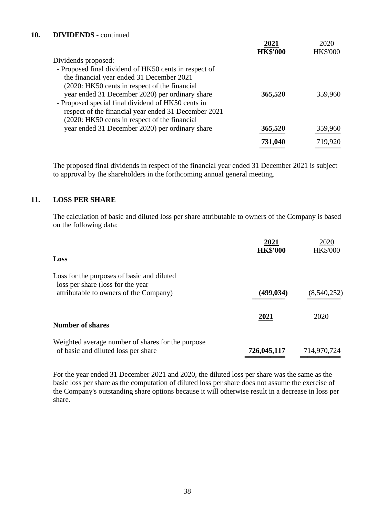### **10. DIVIDENDS** - continued

|                                                       | 2021            | 2020            |
|-------------------------------------------------------|-----------------|-----------------|
|                                                       | <b>HK\$'000</b> | <b>HK\$'000</b> |
| Dividends proposed:                                   |                 |                 |
| - Proposed final dividend of HK50 cents in respect of |                 |                 |
| the financial year ended 31 December 2021             |                 |                 |
| (2020: HK50 cents in respect of the financial         |                 |                 |
| year ended 31 December 2020) per ordinary share       | 365,520         | 359,960         |
| - Proposed special final dividend of HK50 cents in    |                 |                 |
| respect of the financial year ended 31 December 2021  |                 |                 |
| (2020: HK50 cents in respect of the financial         |                 |                 |
| year ended 31 December 2020) per ordinary share       | 365,520         | 359,960         |
|                                                       | 731,040         | 719,920         |
|                                                       |                 |                 |

The proposed final dividends in respect of the financial year ended 31 December 2021 is subject to approval by the shareholders in the forthcoming annual general meeting.

### **11. LOSS PER SHARE**

The calculation of basic and diluted loss per share attributable to owners of the Company is based on the following data:

|                                                                                          | 2021            | 2020            |
|------------------------------------------------------------------------------------------|-----------------|-----------------|
| Loss                                                                                     | <b>HK\$'000</b> | <b>HK\$'000</b> |
| Loss for the purposes of basic and diluted<br>loss per share (loss for the year          |                 |                 |
| attributable to owners of the Company)                                                   | (499, 034)      | (8,540,252)     |
|                                                                                          | 2021            | 2020            |
| <b>Number of shares</b>                                                                  |                 |                 |
| Weighted average number of shares for the purpose<br>of basic and diluted loss per share | 726,045,117     | 714,970,724     |

For the year ended 31 December 2021 and 2020, the diluted loss per share was the same as the basic loss per share as the computation of diluted loss per share does not assume the exercise of the Company's outstanding share options because it will otherwise result in a decrease in loss per share.